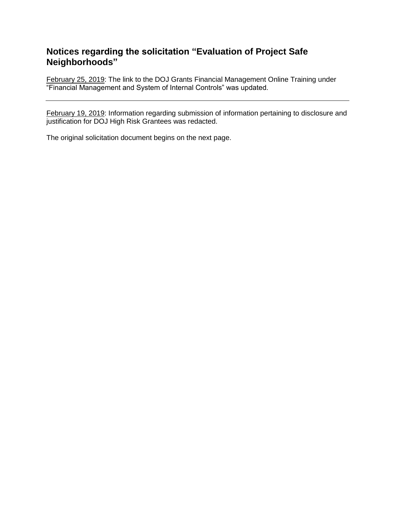## **Notices regarding the solicitation "Evaluation of Project Safe Neighborhoods"**

February 25, 2019: The link to the DOJ Grants Financial Management Online Training under **TEXALLA FINALLA TEXALLA FINALLA TEXALLA FINALLA FINALLA FINALLA TEXALLA FINALLA TEXALLA FINALLA TEXALLA FINALLA FINALLA FINALLA TEXALLA FINALLA FINALLA FINALLA FINALLA FINALLA FINALLA FINALLA FINALLA FINALLA FINALLA FINAL** 

February 19, 2019: Information regarding submission of information pertaining to disclosure and justification for DOJ High Risk Grantees was redacted.

The original solicitation document begins on the next page.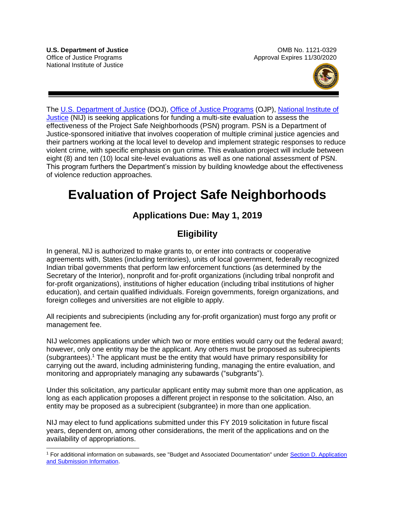$\overline{a}$ 



The [U.S. Department of Justice](https://www.usdoj.gov/) (DOJ), [Office of Justice Programs](https://www.ojp.usdoj.gov/) (OJP), [National Institute of](http://nij.gov/Pages/welcome.aspx)  [Justice](http://nij.gov/Pages/welcome.aspx) (NIJ) is seeking applications for funding a multi-site evaluation to assess the effectiveness of the Project Safe Neighborhoods (PSN) program. PSN is a Department of Justice-sponsored initiative that involves cooperation of multiple criminal justice agencies and their partners working at the local level to develop and implement strategic responses to reduce violent crime, with specific emphasis on gun crime. This evaluation project will include between eight (8) and ten (10) local site-level evaluations as well as one national assessment of PSN. This program furthers the Department's mission by building knowledge about the effectiveness of violence reduction approaches*.*

# **Evaluation of Project Safe Neighborhoods**

# **Applications Due: May 1, 2019**

# **Eligibility**

In general, NIJ is authorized to make grants to, or enter into contracts or cooperative agreements with, States (including territories), units of local government, federally recognized Indian tribal governments that perform law enforcement functions (as determined by the Secretary of the Interior), nonprofit and for-profit organizations (including tribal nonprofit and for-profit organizations), institutions of higher education (including tribal institutions of higher education), and certain qualified individuals. Foreign governments, foreign organizations, and foreign colleges and universities are not eligible to apply.

All recipients and subrecipients (including any for-profit organization) must forgo any profit or management fee.

NIJ welcomes applications under which two or more entities would carry out the federal award; however, only one entity may be the applicant. Any others must be proposed as subrecipients (subgrantees).<sup>1</sup> The applicant must be the entity that would have primary responsibility for carrying out the award, including administering funding, managing the entire evaluation, and monitoring and appropriately managing any subawards ("subgrants").

Under this solicitation, any particular applicant entity may submit more than one application, as long as each application proposes a different project in response to the solicitation. Also, an entity may be proposed as a subrecipient (subgrantee) in more than one application.

NIJ may elect to fund applications submitted under this FY 2019 solicitation in future fiscal years, dependent on, among other considerations, the merit of the applications and on the availability of appropriations.

<sup>&</sup>lt;sup>1</sup> For additional information on subawards, see "Budget and Associated Documentation" under Section D. Application [and Submission Information.](#page-15-0)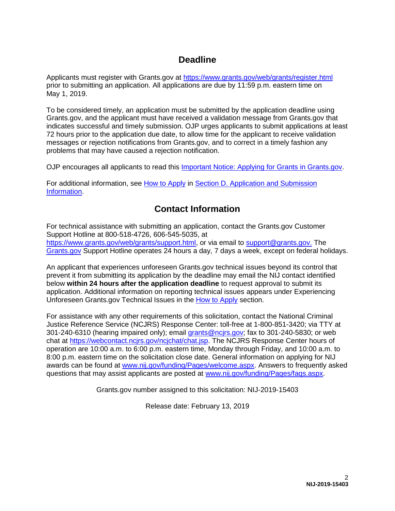## **Deadline**

Applicants must register with Grants.gov at<https://www.grants.gov/web/grants/register.html> prior to submitting an application. All applications are due by 11:59 p.m. eastern time on May 1, 2019.

To be considered timely, an application must be submitted by the application deadline using Grants.gov, and the applicant must have received a validation message from Grants.gov that indicates successful and timely submission. OJP urges applicants to submit applications at least 72 hours prior to the application due date, to allow time for the applicant to receive validation messages or rejection notifications from Grants.gov, and to correct in a timely fashion any problems that may have caused a rejection notification.

OJP encourages all applicants to read this *Important Notice: Applying for Grants in Grants.gov.* 

For additional information, see [How to Apply](#page-30-0) in [Section D. Application and Submission](#page-15-0)  [Information.](#page-15-0)

# **Contact Information**

For technical assistance with submitting an application, contact the Grants.gov Customer Support Hotline at 800-518-4726, 606-545-5035, at [https://www.grants.gov/web/grants/support.html,](https://www.grants.gov/web/grants/support.html) or via email to [support@grants.gov.](mailto:support@grants.gov) The [Grants.gov](https://www.grants.gov/web/grants/support.html) Support Hotline operates 24 hours a day, 7 days a week, except on federal holidays.

An applicant that experiences unforeseen Grants.gov technical issues beyond its control that prevent it from submitting its application by the deadline may email the NIJ contact identified below **within 24 hours after the application deadline** to request approval to submit its application. Additional information on reporting technical issues appears under Experiencing Unforeseen Grants.gov Technical Issues in the [How to Apply](#page-30-0) section.

For assistance with any other requirements of this solicitation, contact the National Criminal Justice Reference Service (NCJRS) Response Center: toll-free at 1-800-851-3420; via TTY at 301-240-6310 (hearing impaired only); email [grants@ncjrs.gov;](mailto:grants@ncjrs.gov) fax to 301-240-5830; or web chat at [https://webcontact.ncjrs.gov/ncjchat/chat.jsp.](https://webcontact.ncjrs.gov/ncjchat/chat.jsp) The NCJRS Response Center hours of operation are 10:00 a.m. to 6:00 p.m. eastern time, Monday through Friday, and 10:00 a.m. to 8:00 p.m. eastern time on the solicitation close date. General information on applying for NIJ awards can be found at [www.nij.gov/funding/Pages/welcome.aspx.](http://www.nij.gov/funding/Pages/welcome.aspx) Answers to frequently asked questions that may assist applicants are posted at [www.nij.gov/funding/Pages/faqs.aspx.](http://www.nij.gov/funding/Pages/faqs.aspx)

Grants.gov number assigned to this solicitation: NIJ-2019-15403

Release date: February 13, 2019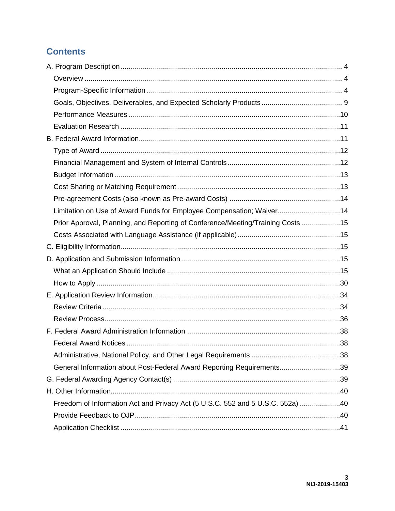# **Contents**

| Limitation on Use of Award Funds for Employee Compensation; Waiver14            |  |
|---------------------------------------------------------------------------------|--|
| Prior Approval, Planning, and Reporting of Conference/Meeting/Training Costs 15 |  |
|                                                                                 |  |
|                                                                                 |  |
|                                                                                 |  |
|                                                                                 |  |
|                                                                                 |  |
|                                                                                 |  |
|                                                                                 |  |
|                                                                                 |  |
|                                                                                 |  |
|                                                                                 |  |
|                                                                                 |  |
| General Information about Post-Federal Award Reporting Requirements39           |  |
|                                                                                 |  |
|                                                                                 |  |
| Freedom of Information Act and Privacy Act (5 U.S.C. 552 and 5 U.S.C. 552a) 40  |  |
|                                                                                 |  |
|                                                                                 |  |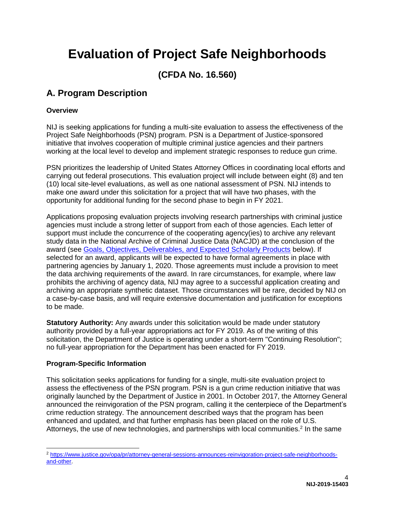# **Evaluation of Project Safe Neighborhoods**

# **(CFDA No. 16.560)**

# <span id="page-4-0"></span>**A. Program Description**

#### <span id="page-4-1"></span>**Overview**

NIJ is seeking applications for funding a multi-site evaluation to assess the effectiveness of the Project Safe Neighborhoods (PSN) program. PSN is a Department of Justice-sponsored initiative that involves cooperation of multiple criminal justice agencies and their partners working at the local level to develop and implement strategic responses to reduce gun crime.

PSN prioritizes the leadership of United States Attorney Offices in coordinating local efforts and carrying out federal prosecutions. This evaluation project will include between eight (8) and ten (10) local site-level evaluations, as well as one national assessment of PSN. NIJ intends to make one award under this solicitation for a project that will have two phases, with the opportunity for additional funding for the second phase to begin in FY 2021.

Applications proposing evaluation projects involving research partnerships with criminal justice agencies must include a strong letter of support from each of those agencies. Each letter of support must include the concurrence of the cooperating agency(ies) to archive any relevant study data in the National Archive of Criminal Justice Data (NACJD) at the conclusion of the award (see [Goals, Objectives, Deliverables, and Expected Scholarly Products](#page-9-0) below). If selected for an award, applicants will be expected to have formal agreements in place with partnering agencies by January 1, 2020. Those agreements must include a provision to meet the data archiving requirements of the award. In rare circumstances, for example, where law prohibits the archiving of agency data, NIJ may agree to a successful application creating and archiving an appropriate synthetic dataset. Those circumstances will be rare, decided by NIJ on a case-by-case basis, and will require extensive documentation and justification for exceptions to be made.

**Statutory Authority:** Any awards under this solicitation would be made under statutory authority provided by a full-year appropriations act for FY 2019. As of the writing of this solicitation, the Department of Justice is operating under a short-term "Continuing Resolution"; no full-year appropriation for the Department has been enacted for FY 2019.

#### <span id="page-4-2"></span>**Program-Specific Information**

 $\overline{a}$ 

This solicitation seeks applications for funding for a single, multi-site evaluation project to assess the effectiveness of the PSN program. PSN is a gun crime reduction initiative that was originally launched by the Department of Justice in 2001. In October 2017, the Attorney General announced the reinvigoration of the PSN program, calling it the centerpiece of the Department's crime reduction strategy. The announcement described ways that the program has been enhanced and updated, and that further emphasis has been placed on the role of U.S. Attorneys, the use of new technologies, and partnerships with local communities.<sup>2</sup> In the same

<sup>2</sup> [https://www.justice.gov/opa/pr/attorney-general-sessions-announces-reinvigoration-project-safe-neighborhoods](https://www.justice.gov/opa/pr/attorney-general-sessions-announces-reinvigoration-project-safe-neighborhoods-and-other)[and-other.](https://www.justice.gov/opa/pr/attorney-general-sessions-announces-reinvigoration-project-safe-neighborhoods-and-other)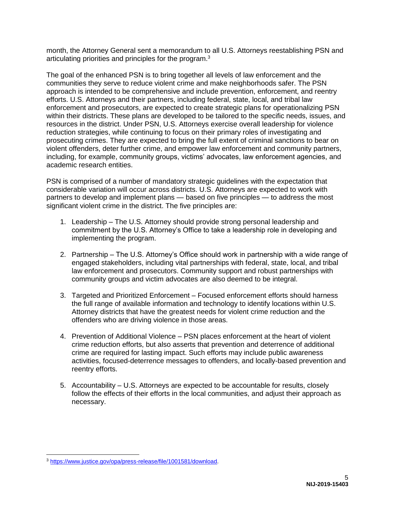month, the Attorney General sent a memorandum to all U.S. Attorneys reestablishing PSN and articulating priorities and principles for the program.<sup>3</sup>

The goal of the enhanced PSN is to bring together all levels of law enforcement and the communities they serve to reduce violent crime and make neighborhoods safer. The PSN approach is intended to be comprehensive and include prevention, enforcement, and reentry efforts. U.S. Attorneys and their partners, including federal, state, local, and tribal law enforcement and prosecutors, are expected to create strategic plans for operationalizing PSN within their districts. These plans are developed to be tailored to the specific needs, issues, and resources in the district. Under PSN, U.S. Attorneys exercise overall leadership for violence reduction strategies, while continuing to focus on their primary roles of investigating and prosecuting crimes. They are expected to bring the full extent of criminal sanctions to bear on violent offenders, deter further crime, and empower law enforcement and community partners, including, for example, community groups, victims' advocates, law enforcement agencies, and academic research entities.

PSN is comprised of a number of mandatory strategic guidelines with the expectation that considerable variation will occur across districts. U.S. Attorneys are expected to work with partners to develop and implement plans — based on five principles — to address the most significant violent crime in the district. The five principles are:

- 1. Leadership The U.S. Attorney should provide strong personal leadership and commitment by the U.S. Attorney's Office to take a leadership role in developing and implementing the program.
- 2. Partnership The U.S. Attorney's Office should work in partnership with a wide range of engaged stakeholders, including vital partnerships with federal, state, local, and tribal law enforcement and prosecutors. Community support and robust partnerships with community groups and victim advocates are also deemed to be integral.
- 3. Targeted and Prioritized Enforcement Focused enforcement efforts should harness the full range of available information and technology to identify locations within U.S. Attorney districts that have the greatest needs for violent crime reduction and the offenders who are driving violence in those areas.
- 4. Prevention of Additional Violence PSN places enforcement at the heart of violent crime reduction efforts, but also asserts that prevention and deterrence of additional crime are required for lasting impact. Such efforts may include public awareness activities, focused-deterrence messages to offenders, and locally-based prevention and reentry efforts.
- 5. Accountability U.S. Attorneys are expected to be accountable for results, closely follow the effects of their efforts in the local communities, and adjust their approach as necessary.

<sup>3</sup> [https://www.justice.gov/opa/press-release/file/1001581/download.](https://www.justice.gov/opa/press-release/file/1001581/download)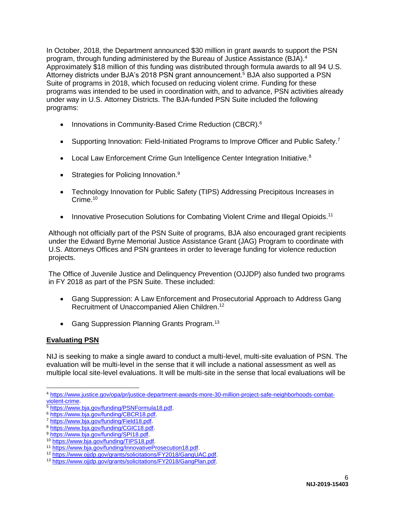In October, 2018, the Department announced \$30 million in grant awards to support the PSN program, through funding administered by the Bureau of Justice Assistance (BJA).<sup>4</sup> Approximately \$18 million of this funding was distributed through formula awards to all 94 U.S. Attorney districts under BJA's 2018 PSN grant announcement.<sup>5</sup> BJA also supported a PSN Suite of programs in 2018, which focused on reducing violent crime. Funding for these programs was intended to be used in coordination with, and to advance, PSN activities already under way in U.S. Attorney Districts. The BJA-funded PSN Suite included the following programs:

- Innovations in Community-Based Crime Reduction (CBCR).<sup>6</sup>
- Supporting Innovation: Field-Initiated Programs to Improve Officer and Public Safety.<sup>7</sup>
- Local Law Enforcement Crime Gun Intelligence Center Integration Initiative.<sup>8</sup>
- Strategies for Policing Innovation.<sup>9</sup>
- Technology Innovation for Public Safety (TIPS) Addressing Precipitous Increases in Crime. 10
- Innovative Prosecution Solutions for Combating Violent Crime and Illegal Opioids.<sup>11</sup>

Although not officially part of the PSN Suite of programs, BJA also encouraged grant recipients under the Edward Byrne Memorial Justice Assistance Grant (JAG) Program to coordinate with U.S. Attorneys Offices and PSN grantees in order to leverage funding for violence reduction projects.

The Office of Juvenile Justice and Delinquency Prevention (OJJDP) also funded two programs in FY 2018 as part of the PSN Suite. These included:

- Gang Suppression: A Law Enforcement and Prosecutorial Approach to Address Gang Recruitment of Unaccompanied Alien Children. 12
- Gang Suppression Planning Grants Program.<sup>13</sup>

#### **Evaluating PSN**

NIJ is seeking to make a single award to conduct a multi-level, multi-site evaluation of PSN. The evaluation will be multi-level in the sense that it will include a national assessment as well as multiple local site-level evaluations. It will be multi-site in the sense that local evaluations will be

<sup>4</sup> [https://www.justice.gov/opa/pr/justice-department-awards-more-30-million-project-safe-neighborhoods-combat](https://www.justice.gov/opa/pr/justice-department-awards-more-30-million-project-safe-neighborhoods-combat-violent-crime)[violent-crime.](https://www.justice.gov/opa/pr/justice-department-awards-more-30-million-project-safe-neighborhoods-combat-violent-crime)

<sup>5</sup> [https://www.bja.gov/funding/PSNFormula18.pdf.](https://www.bja.gov/funding/PSNFormula18.pdf)

<sup>6</sup> [https://www.bja.gov/funding/CBCR18.pdf.](https://www.bja.gov/funding/CBCR18.pdf)

<sup>7</sup> [https://www.bja.gov/funding/Field18.pdf.](https://www.bja.gov/funding/Field18.pdf)

<sup>8</sup> [https://www.bja.gov/funding/CGIC18.pdf.](https://www.bja.gov/funding/CGIC18.pdf)

<sup>9</sup> [https://www.bja.gov/funding/SPI18.pdf.](https://www.bja.gov/funding/SPI18.pdf)

<sup>10</sup> [https://www.bja.gov/funding/TIPS18.pdf.](https://www.bja.gov/funding/TIPS18.pdf)

<sup>11</sup> [https://www.bja.gov/funding/InnovativeProsecution18.pdf.](https://www.bja.gov/funding/InnovativeProsecution18.pdf)

<sup>12</sup> [https://www.ojjdp.gov/grants/solicitations/FY2018/GangUAC.pdf.](https://www.ojjdp.gov/grants/solicitations/FY2018/GangUAC.pdf)

<sup>13</sup> [https://www.ojjdp.gov/grants/solicitations/FY2018/GangPlan.pdf.](https://www.ojjdp.gov/grants/solicitations/FY2018/GangPlan.pdf)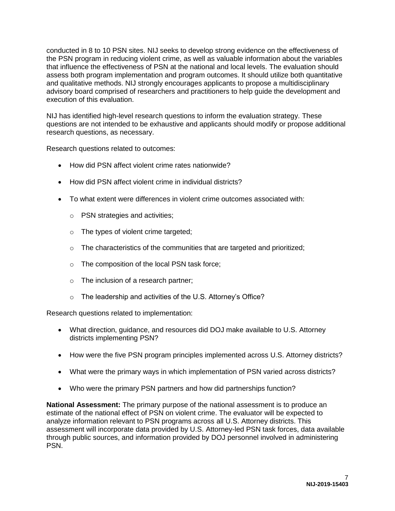conducted in 8 to 10 PSN sites. NIJ seeks to develop strong evidence on the effectiveness of the PSN program in reducing violent crime, as well as valuable information about the variables that influence the effectiveness of PSN at the national and local levels. The evaluation should assess both program implementation and program outcomes. It should utilize both quantitative and qualitative methods. NIJ strongly encourages applicants to propose a multidisciplinary advisory board comprised of researchers and practitioners to help guide the development and execution of this evaluation.

NIJ has identified high-level research questions to inform the evaluation strategy. These questions are not intended to be exhaustive and applicants should modify or propose additional research questions, as necessary.

Research questions related to outcomes:

- How did PSN affect violent crime rates nationwide?
- How did PSN affect violent crime in individual districts?
- To what extent were differences in violent crime outcomes associated with:
	- o PSN strategies and activities;
	- o The types of violent crime targeted;
	- o The characteristics of the communities that are targeted and prioritized;
	- o The composition of the local PSN task force;
	- o The inclusion of a research partner;
	- o The leadership and activities of the U.S. Attorney's Office?

Research questions related to implementation:

- What direction, guidance, and resources did DOJ make available to U.S. Attorney districts implementing PSN?
- How were the five PSN program principles implemented across U.S. Attorney districts?
- What were the primary ways in which implementation of PSN varied across districts?
- Who were the primary PSN partners and how did partnerships function?

**National Assessment:** The primary purpose of the national assessment is to produce an estimate of the national effect of PSN on violent crime. The evaluator will be expected to analyze information relevant to PSN programs across all U.S. Attorney districts. This assessment will incorporate data provided by U.S. Attorney-led PSN task forces, data available through public sources, and information provided by DOJ personnel involved in administering PSN.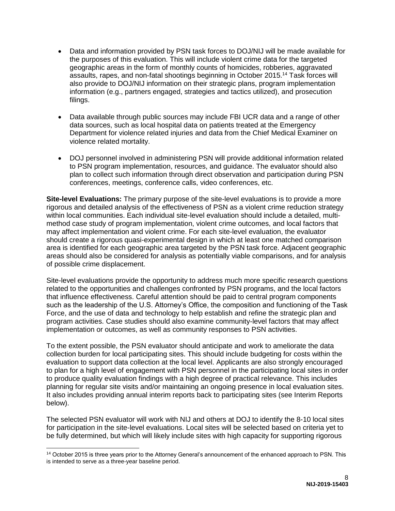- Data and information provided by PSN task forces to DOJ/NIJ will be made available for the purposes of this evaluation. This will include violent crime data for the targeted geographic areas in the form of monthly counts of homicides, robberies, aggravated assaults, rapes, and non-fatal shootings beginning in October 2015.<sup>14</sup> Task forces will also provide to DOJ/NIJ information on their strategic plans, program implementation information (e.g., partners engaged, strategies and tactics utilized), and prosecution filings.
- Data available through public sources may include FBI UCR data and a range of other data sources, such as local hospital data on patients treated at the Emergency Department for violence related injuries and data from the Chief Medical Examiner on violence related mortality.
- DOJ personnel involved in administering PSN will provide additional information related to PSN program implementation, resources, and guidance. The evaluator should also plan to collect such information through direct observation and participation during PSN conferences, meetings, conference calls, video conferences, etc.

**Site-level Evaluations:** The primary purpose of the site-level evaluations is to provide a more rigorous and detailed analysis of the effectiveness of PSN as a violent crime reduction strategy within local communities. Each individual site-level evaluation should include a detailed, multimethod case study of program implementation, violent crime outcomes, and local factors that may affect implementation and violent crime. For each site-level evaluation, the evaluator should create a rigorous quasi-experimental design in which at least one matched comparison area is identified for each geographic area targeted by the PSN task force. Adjacent geographic areas should also be considered for analysis as potentially viable comparisons, and for analysis of possible crime displacement.

Site-level evaluations provide the opportunity to address much more specific research questions related to the opportunities and challenges confronted by PSN programs, and the local factors that influence effectiveness. Careful attention should be paid to central program components such as the leadership of the U.S. Attorney's Office, the composition and functioning of the Task Force, and the use of data and technology to help establish and refine the strategic plan and program activities. Case studies should also examine community-level factors that may affect implementation or outcomes, as well as community responses to PSN activities.

To the extent possible, the PSN evaluator should anticipate and work to ameliorate the data collection burden for local participating sites. This should include budgeting for costs within the evaluation to support data collection at the local level. Applicants are also strongly encouraged to plan for a high level of engagement with PSN personnel in the participating local sites in order to produce quality evaluation findings with a high degree of practical relevance. This includes planning for regular site visits and/or maintaining an ongoing presence in local evaluation sites. It also includes providing annual interim reports back to participating sites (see Interim Reports below).

The selected PSN evaluator will work with NIJ and others at DOJ to identify the 8-10 local sites for participation in the site-level evaluations. Local sites will be selected based on criteria yet to be fully determined, but which will likely include sites with high capacity for supporting rigorous

 $\overline{a}$ 

<sup>&</sup>lt;sup>14</sup> October 2015 is three years prior to the Attorney General's announcement of the enhanced approach to PSN. This is intended to serve as a three-year baseline period.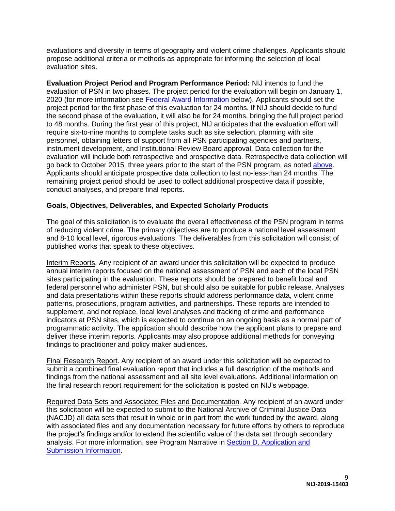evaluations and diversity in terms of geography and violent crime challenges. Applicants should propose additional criteria or methods as appropriate for informing the selection of local evaluation sites.

**Evaluation Project Period and Program Performance Period:** NIJ intends to fund the evaluation of PSN in two phases. The project period for the evaluation will begin on January 1, 2020 (for more information see [Federal Award Information](#page-11-1) below). Applicants should set the project period for the first phase of this evaluation for 24 months. If NIJ should decide to fund the second phase of the evaluation, it will also be for 24 months, bringing the full project period to 48 months. During the first year of this project, NIJ anticipates that the evaluation effort will require six-to-nine months to complete tasks such as site selection, planning with site personnel, obtaining letters of support from all PSN participating agencies and partners, instrument development, and Institutional Review Board approval. Data collection for the evaluation will include both retrospective and prospective data. Retrospective data collection will go back to October 2015, three years prior to the start of the PSN program, as noted [above.](#page-4-2) Applicants should anticipate prospective data collection to last no-less-than 24 months. The remaining project period should be used to collect additional prospective data if possible, conduct analyses, and prepare final reports.

#### <span id="page-9-0"></span>**Goals, Objectives, Deliverables, and Expected Scholarly Products**

The goal of this solicitation is to evaluate the overall effectiveness of the PSN program in terms of reducing violent crime. The primary objectives are to produce a national level assessment and 8-10 local level, rigorous evaluations. The deliverables from this solicitation will consist of published works that speak to these objectives.

Interim Reports. Any recipient of an award under this solicitation will be expected to produce annual interim reports focused on the national assessment of PSN and each of the local PSN sites participating in the evaluation. These reports should be prepared to benefit local and federal personnel who administer PSN, but should also be suitable for public release. Analyses and data presentations within these reports should address performance data, violent crime patterns, prosecutions, program activities, and partnerships. These reports are intended to supplement, and not replace, local level analyses and tracking of crime and performance indicators at PSN sites, which is expected to continue on an ongoing basis as a normal part of programmatic activity. The application should describe how the applicant plans to prepare and deliver these interim reports. Applicants may also propose additional methods for conveying findings to practitioner and policy maker audiences.

Final Research Report. Any recipient of an award under this solicitation will be expected to submit a combined final evaluation report that includes a full description of the methods and findings from the national assessment and all site level evaluations. Additional information on the final research report requirement for the solicitation is posted on NIJ's webpage.

Required Data Sets and Associated Files and Documentation*.* Any recipient of an award under this solicitation will be expected to submit to the National Archive of Criminal Justice Data (NACJD) all data sets that result in whole or in part from the work funded by the award, along with associated files and any documentation necessary for future efforts by others to reproduce the project's findings and/or to extend the scientific value of the data set through secondary analysis. For more information, see Program Narrative in [Section D. Application and](#page-15-0)  [Submission Information.](#page-15-0)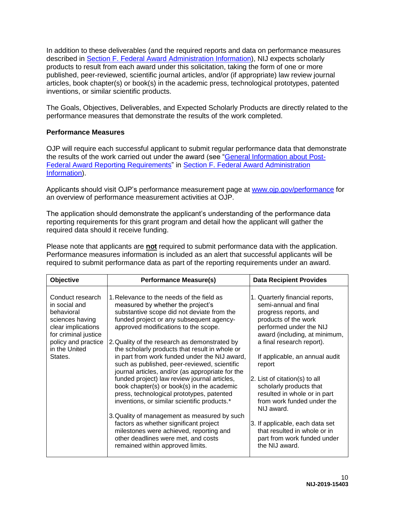In addition to these deliverables (and the required reports and data on performance measures described in [Section F. Federal Award Administration Information\)](#page-38-0), NIJ expects scholarly products to result from each award under this solicitation, taking the form of one or more published, peer-reviewed, scientific journal articles, and/or (if appropriate) law review journal articles, book chapter(s) or book(s) in the academic press, technological prototypes, patented inventions, or similar scientific products.

The Goals, Objectives, Deliverables, and Expected Scholarly Products are directly related to the performance measures that demonstrate the results of the work completed.

#### <span id="page-10-0"></span>**Performance Measures**

OJP will require each successful applicant to submit regular performance data that demonstrate the results of the work carried out under the award (see ["General Information about Post-](#page-39-0)[Federal Award Reporting Requirements"](#page-39-0) in [Section F. Federal Award Administration](#page-38-0)  [Information\)](#page-38-0).

Applicants should visit OJP's performance measurement page at [www.ojp.gov/performance](https://www.ojp.gov/performance) for an overview of performance measurement activities at OJP.

The application should demonstrate the applicant's understanding of the performance data reporting requirements for this grant program and detail how the applicant will gather the required data should it receive funding.

Please note that applicants are **not** required to submit performance data with the application. Performance measures information is included as an alert that successful applicants will be required to submit performance data as part of the reporting requirements under an award.

| Objective                                                                                                                                                           | <b>Performance Measure(s)</b>                                                                                                                                                                                                                                                                                                                                                                                                                                                                                                                                                                                                                                                                                                                                                                                                                                                       | <b>Data Recipient Provides</b>                                                                                                                                                                                                                                                                                                                                                                                                                                                                             |
|---------------------------------------------------------------------------------------------------------------------------------------------------------------------|-------------------------------------------------------------------------------------------------------------------------------------------------------------------------------------------------------------------------------------------------------------------------------------------------------------------------------------------------------------------------------------------------------------------------------------------------------------------------------------------------------------------------------------------------------------------------------------------------------------------------------------------------------------------------------------------------------------------------------------------------------------------------------------------------------------------------------------------------------------------------------------|------------------------------------------------------------------------------------------------------------------------------------------------------------------------------------------------------------------------------------------------------------------------------------------------------------------------------------------------------------------------------------------------------------------------------------------------------------------------------------------------------------|
| Conduct research<br>in social and<br>behavioral<br>sciences having<br>clear implications<br>for criminal justice<br>policy and practice<br>in the United<br>States. | 1. Relevance to the needs of the field as<br>measured by whether the project's<br>substantive scope did not deviate from the<br>funded project or any subsequent agency-<br>approved modifications to the scope.<br>2. Quality of the research as demonstrated by<br>the scholarly products that result in whole or<br>in part from work funded under the NIJ award,<br>such as published, peer-reviewed, scientific<br>journal articles, and/or (as appropriate for the<br>funded project) law review journal articles,<br>book chapter(s) or book(s) in the academic<br>press, technological prototypes, patented<br>inventions, or similar scientific products.*<br>3. Quality of management as measured by such<br>factors as whether significant project<br>milestones were achieved, reporting and<br>other deadlines were met, and costs<br>remained within approved limits. | 1. Quarterly financial reports,<br>semi-annual and final<br>progress reports, and<br>products of the work<br>performed under the NIJ<br>award (including, at minimum,<br>a final research report).<br>If applicable, an annual audit<br>report<br>2. List of citation(s) to all<br>scholarly products that<br>resulted in whole or in part<br>from work funded under the<br>NIJ award.<br>3. If applicable, each data set<br>that resulted in whole or in<br>part from work funded under<br>the NIJ award. |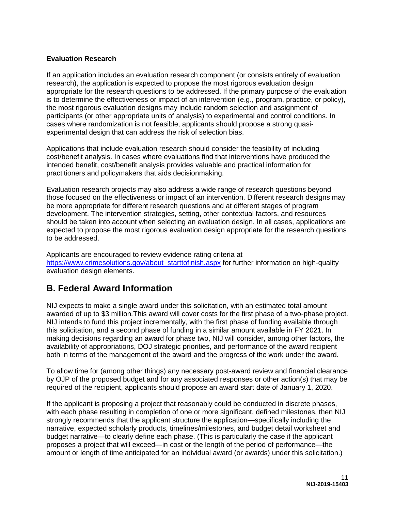#### <span id="page-11-0"></span>**Evaluation Research**

If an application includes an evaluation research component (or consists entirely of evaluation research), the application is expected to propose the most rigorous evaluation design appropriate for the research questions to be addressed. If the primary purpose of the evaluation is to determine the effectiveness or impact of an intervention (e.g., program, practice, or policy), the most rigorous evaluation designs may include random selection and assignment of participants (or other appropriate units of analysis) to experimental and control conditions. In cases where randomization is not feasible, applicants should propose a strong quasiexperimental design that can address the risk of selection bias.

Applications that include evaluation research should consider the feasibility of including cost/benefit analysis. In cases where evaluations find that interventions have produced the intended benefit, cost/benefit analysis provides valuable and practical information for practitioners and policymakers that aids decisionmaking.

Evaluation research projects may also address a wide range of research questions beyond those focused on the effectiveness or impact of an intervention. Different research designs may be more appropriate for different research questions and at different stages of program development. The intervention strategies, setting, other contextual factors, and resources should be taken into account when selecting an evaluation design. In all cases, applications are expected to propose the most rigorous evaluation design appropriate for the research questions to be addressed.

Applicants are encouraged to review evidence rating criteria at [https://www.crimesolutions.gov/about\\_starttofinish.aspx](https://www.crimesolutions.gov/about_starttofinish.aspx) for further information on high-quality evaluation design elements.

## <span id="page-11-1"></span>**B. Federal Award Information**

NIJ expects to make a single award under this solicitation, with an estimated total amount awarded of up to \$3 million*.*This award will cover costs for the first phase of a two-phase project. NIJ intends to fund this project incrementally, with the first phase of funding available through this solicitation, and a second phase of funding in a similar amount available in FY 2021. In making decisions regarding an award for phase two, NIJ will consider, among other factors, the availability of appropriations, DOJ strategic priorities, and performance of the award recipient both in terms of the management of the award and the progress of the work under the award.

To allow time for (among other things) any necessary post-award review and financial clearance by OJP of the proposed budget and for any associated responses or other action(s) that may be required of the recipient, applicants should propose an award start date of January 1, 2020.

If the applicant is proposing a project that reasonably could be conducted in discrete phases, with each phase resulting in completion of one or more significant, defined milestones, then NIJ strongly recommends that the applicant structure the application—specifically including the narrative, expected scholarly products, timelines/milestones, and budget detail worksheet and budget narrative—to clearly define each phase. (This is particularly the case if the applicant proposes a project that will exceed—in cost or the length of the period of performance—the amount or length of time anticipated for an individual award (or awards) under this solicitation.)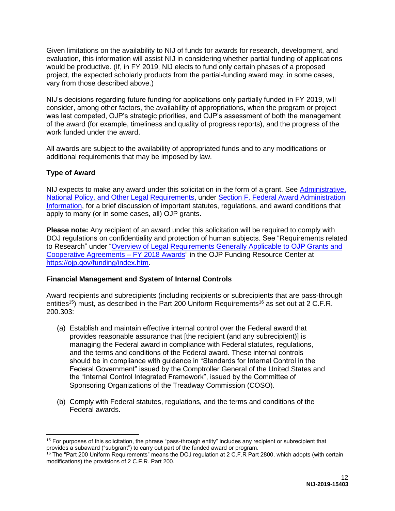Given limitations on the availability to NIJ of funds for awards for research, development, and evaluation, this information will assist NIJ in considering whether partial funding of applications would be productive. (If, in FY 2019, NIJ elects to fund only certain phases of a proposed project, the expected scholarly products from the partial-funding award may, in some cases, vary from those described above.)

NIJ's decisions regarding future funding for applications only partially funded in FY 2019, will consider, among other factors, the availability of appropriations, when the program or project was last competed, OJP's strategic priorities, and OJP's assessment of both the management of the award (for example, timeliness and quality of progress reports), and the progress of the work funded under the award.

All awards are subject to the availability of appropriated funds and to any modifications or additional requirements that may be imposed by law.

#### <span id="page-12-0"></span>**Type of Award**

NIJ expects to make any award under this solicitation in the form of a grant. See [Administrative,](#page-38-2)  [National Policy, and Other Legal Requirements,](#page-38-2) under [Section F. Federal Award Administration](#page-38-0)  [Information,](#page-38-0) for a brief discussion of important statutes, regulations, and award conditions that apply to many (or in some cases, all) OJP grants.

**Please note:** Any recipient of an award under this solicitation will be required to comply with DOJ regulations on confidentiality and protection of human subjects. See "Requirements related to Research" under ["Overview of Legal Requirements Generally Applicable to OJP Grants and](https://ojp.gov/funding/Explore/LegalOverview/index.htm)  [Cooperative Agreements –](https://ojp.gov/funding/Explore/LegalOverview/index.htm) FY 2018 Awards" in the OJP Funding Resource Center at [https://ojp.gov/funding/index.htm.](https://ojp.gov/funding/index.htm)

#### <span id="page-12-1"></span>**Financial Management and System of Internal Controls**

Award recipients and subrecipients (including recipients or subrecipients that are pass-through entities<sup>15</sup>) must, as described in the Part 200 Uniform Requirements<sup>16</sup> as set out at 2 C.F.R. 200.303:

- (a) Establish and maintain effective internal control over the Federal award that provides reasonable assurance that [the recipient (and any subrecipient)] is managing the Federal award in compliance with Federal statutes, regulations, and the terms and conditions of the Federal award. These internal controls should be in compliance with guidance in "Standards for Internal Control in the Federal Government" issued by the Comptroller General of the United States and the "Internal Control Integrated Framework", issued by the Committee of Sponsoring Organizations of the Treadway Commission (COSO).
- (b) Comply with Federal statutes, regulations, and the terms and conditions of the Federal awards.

 $\overline{a}$  $15$  For purposes of this solicitation, the phrase "pass-through entity" includes any recipient or subrecipient that provides a subaward ("subgrant") to carry out part of the funded award or program.

<sup>&</sup>lt;sup>16</sup> The "Part 200 Uniform Requirements" means the DOJ regulation at 2 C.F.R Part 2800, which adopts (with certain modifications) the provisions of 2 C.F.R. Part 200.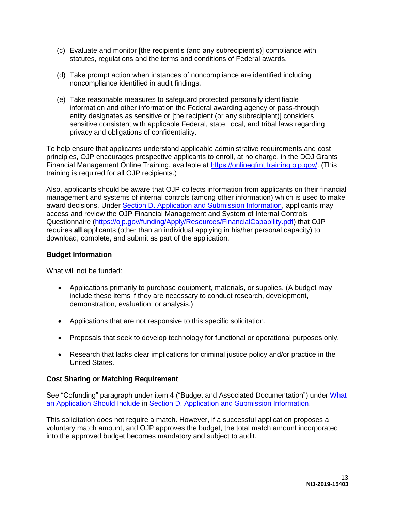- (c) Evaluate and monitor [the recipient's (and any subrecipient's)] compliance with statutes, regulations and the terms and conditions of Federal awards.
- (d) Take prompt action when instances of noncompliance are identified including noncompliance identified in audit findings.
- (e) Take reasonable measures to safeguard protected personally identifiable information and other information the Federal awarding agency or pass-through entity designates as sensitive or [the recipient (or any subrecipient)] considers sensitive consistent with applicable Federal, state, local, and tribal laws regarding privacy and obligations of confidentiality.

To help ensure that applicants understand applicable administrative requirements and cost principles, OJP encourages prospective applicants to enroll, at no charge, in the DOJ Grants Financial Management Online Training, available at <https://onlinegfmt.training.ojp.gov/>. (This training is required for all OJP recipients.)

Also, applicants should be aware that OJP collects information from applicants on their financial management and systems of internal controls (among other information) which is used to make award decisions. Under [Section D. Application and Submission Information,](#page-15-0) applicants may access and review the OJP Financial Management and System of Internal Controls Questionnaire [\(https://ojp.gov/funding/Apply/Resources/FinancialCapability.pdf\)](https://ojp.gov/funding/Apply/Resources/FinancialCapability.pdf) that OJP requires **all** applicants (other than an individual applying in his/her personal capacity) to download, complete, and submit as part of the application.

#### <span id="page-13-0"></span>**Budget Information**

What will not be funded:

- Applications primarily to purchase equipment, materials, or supplies. (A budget may include these items if they are necessary to conduct research, development, demonstration, evaluation, or analysis.)
- Applications that are not responsive to this specific solicitation.
- Proposals that seek to develop technology for functional or operational purposes only.
- Research that lacks clear implications for criminal justice policy and/or practice in the United States.

#### <span id="page-13-1"></span>**Cost Sharing or Matching Requirement**

See "Cofunding" paragraph under item 4 ("Budget and Associated Documentation") under [What](#page-15-4)  [an Application Should Include](#page-15-4) in [Section D. Application and Submission Information.](#page-15-0)

This solicitation does not require a match. However, if a successful application proposes a voluntary match amount, and OJP approves the budget, the total match amount incorporated into the approved budget becomes mandatory and subject to audit.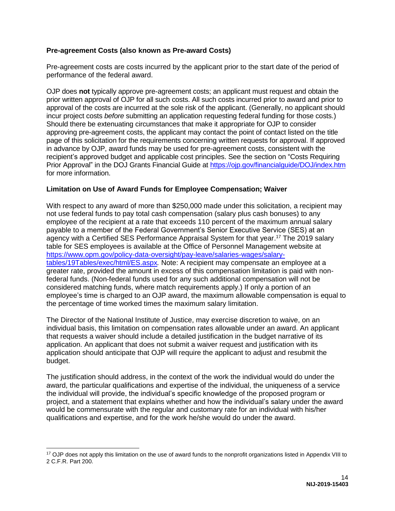#### <span id="page-14-0"></span>**Pre-agreement Costs (also known as Pre-award Costs)**

Pre-agreement costs are costs incurred by the applicant prior to the start date of the period of performance of the federal award.

OJP does **not** typically approve pre-agreement costs; an applicant must request and obtain the prior written approval of OJP for all such costs. All such costs incurred prior to award and prior to approval of the costs are incurred at the sole risk of the applicant. (Generally, no applicant should incur project costs *before* submitting an application requesting federal funding for those costs.) Should there be extenuating circumstances that make it appropriate for OJP to consider approving pre-agreement costs, the applicant may contact the point of contact listed on the title page of this solicitation for the requirements concerning written requests for approval. If approved in advance by OJP, award funds may be used for pre-agreement costs, consistent with the recipient's approved budget and applicable cost principles. See the section on "Costs Requiring Prior Approval" in the DOJ Grants Financial Guide at<https://ojp.gov/financialguide/DOJ/index.htm> for more information.

#### <span id="page-14-1"></span>**Limitation on Use of Award Funds for Employee Compensation; Waiver**

With respect to any award of more than \$250,000 made under this solicitation, a recipient may not use federal funds to pay total cash compensation (salary plus cash bonuses) to any employee of the recipient at a rate that exceeds 110 percent of the maximum annual salary payable to a member of the Federal Government's Senior Executive Service (SES) at an agency with a Certified SES Performance Appraisal System for that year. <sup>17</sup> The 2019 salary table for SES employees is available at the Office of Personnel Management website at [https://www.opm.gov/policy-data-oversight/pay-leave/salaries-wages/salary](https://www.opm.gov/policy-data-oversight/pay-leave/salaries-wages/salary-tables/19Tables/exec/html/ES.aspx)[tables/19Tables/exec/html/ES.aspx](https://www.opm.gov/policy-data-oversight/pay-leave/salaries-wages/salary-tables/19Tables/exec/html/ES.aspx)*.* Note: A recipient may compensate an employee at a greater rate, provided the amount in excess of this compensation limitation is paid with nonfederal funds. (Non-federal funds used for any such additional compensation will not be considered matching funds, where match requirements apply.) If only a portion of an employee's time is charged to an OJP award, the maximum allowable compensation is equal to the percentage of time worked times the maximum salary limitation.

The Director of the National Institute of Justice, may exercise discretion to waive, on an individual basis, this limitation on compensation rates allowable under an award. An applicant that requests a waiver should include a detailed justification in the budget narrative of its application. An applicant that does not submit a waiver request and justification with its application should anticipate that OJP will require the applicant to adjust and resubmit the budget.

The justification should address, in the context of the work the individual would do under the award, the particular qualifications and expertise of the individual, the uniqueness of a service the individual will provide, the individual's specific knowledge of the proposed program or project, and a statement that explains whether and how the individual's salary under the award would be commensurate with the regular and customary rate for an individual with his/her qualifications and expertise, and for the work he/she would do under the award.

 $\overline{a}$ 

<sup>&</sup>lt;sup>17</sup> OJP does not apply this limitation on the use of award funds to the nonprofit organizations listed in Appendix VIII to 2 C.F.R. Part 200.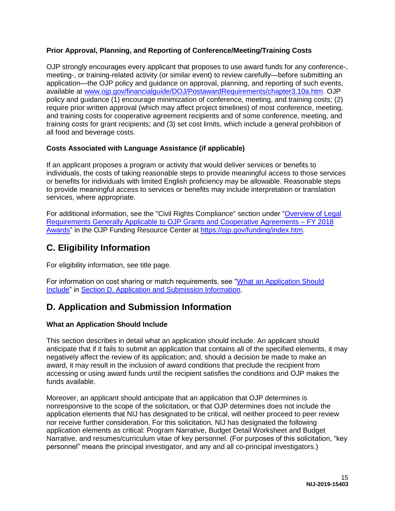#### <span id="page-15-1"></span>**Prior Approval, Planning, and Reporting of Conference/Meeting/Training Costs**

OJP strongly encourages every applicant that proposes to use award funds for any conference-, meeting-, or training-related activity (or similar event) to review carefully—before submitting an application—the OJP policy and guidance on approval, planning, and reporting of such events, available at [www.ojp.gov/financialguide/DOJ/PostawardRequirements/chapter3.10a.htm.](https://ojp.gov/financialguide/DOJ/PostawardRequirements/chapter3.10a.htm) OJP policy and guidance (1) encourage minimization of conference, meeting, and training costs; (2) require prior written approval (which may affect project timelines) of most conference, meeting, and training costs for cooperative agreement recipients and of some conference, meeting, and training costs for grant recipients; and (3) set cost limits, which include a general prohibition of all food and beverage costs.

#### <span id="page-15-2"></span>**Costs Associated with Language Assistance (if applicable)**

If an applicant proposes a program or activity that would deliver services or benefits to individuals, the costs of taking reasonable steps to provide meaningful access to those services or benefits for individuals with limited English proficiency may be allowable. Reasonable steps to provide meaningful access to services or benefits may include interpretation or translation services, where appropriate.

For additional information, see the "Civil Rights Compliance" section under ["Overview of Legal](https://ojp.gov/funding/Explore/LegalOverview/index.htm)  [Requirements Generally Applicable to OJP Grants and Cooperative Agreements –](https://ojp.gov/funding/Explore/LegalOverview/index.htm) FY 2018 [Awards"](https://ojp.gov/funding/Explore/LegalOverview/index.htm) in the OJP Funding Resource Center at [https://ojp.gov/funding/index.htm.](https://ojp.gov/funding/index.htm)

# <span id="page-15-3"></span>**C. Eligibility Information**

For eligibility information, see title page.

For information on cost sharing or match requirements, see ["What an Application Should](#page-15-4)  [Include"](#page-15-4) in [Section D. Application and Submission Information.](#page-15-0)

## <span id="page-15-0"></span>**D. Application and Submission Information**

#### <span id="page-15-4"></span>**What an Application Should Include**

This section describes in detail what an application should include. An applicant should anticipate that if it fails to submit an application that contains all of the specified elements, it may negatively affect the review of its application; and, should a decision be made to make an award, it may result in the inclusion of award conditions that preclude the recipient from accessing or using award funds until the recipient satisfies the conditions and OJP makes the funds available.

Moreover, an applicant should anticipate that an application that OJP determines is nonresponsive to the scope of the solicitation, or that OJP determines does not include the application elements that NIJ has designated to be critical, will neither proceed to peer review nor receive further consideration. For this solicitation, NIJ has designated the following application elements as critical: Program Narrative, Budget Detail Worksheet and Budget Narrative, and resumes/curriculum vitae of key personnel. (For purposes of this solicitation, "key personnel" means the principal investigator, and any and all co-principal investigators.)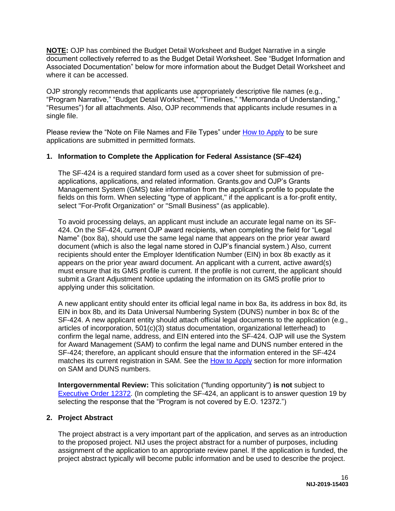**NOTE:** OJP has combined the Budget Detail Worksheet and Budget Narrative in a single document collectively referred to as the Budget Detail Worksheet. See "Budget Information and Associated Documentation" below for more information about the Budget Detail Worksheet and where it can be accessed.

OJP strongly recommends that applicants use appropriately descriptive file names (e.g*.*, "Program Narrative," "Budget Detail Worksheet," "Timelines," "Memoranda of Understanding," "Resumes") for all attachments. Also, OJP recommends that applicants include resumes in a single file.

Please review the "Note on File Names and File Types" under [How to Apply](#page-30-0) to be sure applications are submitted in permitted formats.

#### **1. Information to Complete the Application for Federal Assistance (SF-424)**

The SF-424 is a required standard form used as a cover sheet for submission of preapplications, applications, and related information. Grants.gov and OJP's Grants Management System (GMS) take information from the applicant's profile to populate the fields on this form. When selecting "type of applicant," if the applicant is a for-profit entity, select "For-Profit Organization" or "Small Business" (as applicable).

To avoid processing delays, an applicant must include an accurate legal name on its SF-424. On the SF-424, current OJP award recipients, when completing the field for "Legal Name" (box 8a), should use the same legal name that appears on the prior year award document (which is also the legal name stored in OJP's financial system.) Also, current recipients should enter the Employer Identification Number (EIN) in box 8b exactly as it appears on the prior year award document. An applicant with a current, active award(s) must ensure that its GMS profile is current. If the profile is not current, the applicant should submit a Grant Adjustment Notice updating the information on its GMS profile prior to applying under this solicitation.

A new applicant entity should enter its official legal name in box 8a, its address in box 8d, its EIN in box 8b, and its Data Universal Numbering System (DUNS) number in box 8c of the SF-424. A new applicant entity should attach official legal documents to the application (e.g., articles of incorporation, 501(c)(3) status documentation, organizational letterhead) to confirm the legal name, address, and EIN entered into the SF-424. OJP will use the System for Award Management (SAM) to confirm the legal name and DUNS number entered in the SF-424; therefore, an applicant should ensure that the information entered in the SF-424 matches its current registration in SAM. See the [How to Apply](#page-30-0) section for more information on SAM and DUNS numbers.

**Intergovernmental Review:** This solicitation ("funding opportunity") **is not** subject to [Executive Order 12372.](https://www.archives.gov/federal-register/codification/executive-order/12372.html) (In completing the SF-424, an applicant is to answer question 19 by selecting the response that the "Program is not covered by E.O. 12372.")

#### **2. Project Abstract**

The project abstract is a very important part of the application, and serves as an introduction to the proposed project. NIJ uses the project abstract for a number of purposes, including assignment of the application to an appropriate review panel. If the application is funded, the project abstract typically will become public information and be used to describe the project.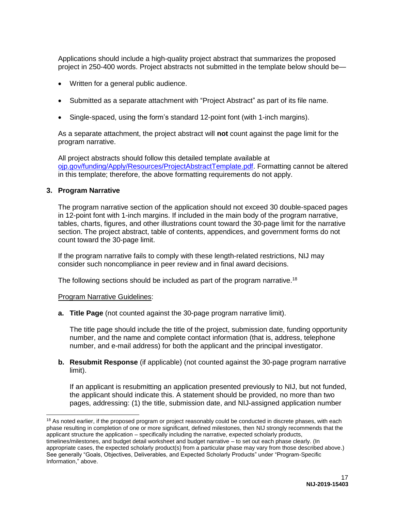Applications should include a high-quality project abstract that summarizes the proposed project in 250-400 words. Project abstracts not submitted in the template below should be—

- Written for a general public audience.
- Submitted as a separate attachment with "Project Abstract" as part of its file name.
- Single-spaced, using the form's standard 12-point font (with 1-inch margins).

As a separate attachment, the project abstract will **not** count against the page limit for the program narrative.

All project abstracts should follow this detailed template available at [ojp.gov/funding/Apply/Resources/ProjectAbstractTemplate.pdf.](https://ojp.gov/funding/Apply/Resources/ProjectAbstractTemplate.pdf) Formatting cannot be altered in this template; therefore, the above formatting requirements do not apply.

#### **3. Program Narrative**

 $\overline{a}$ 

The program narrative section of the application should not exceed 30 double-spaced pages in 12-point font with 1-inch margins. If included in the main body of the program narrative, tables, charts, figures, and other illustrations count toward the 30-page limit for the narrative section. The project abstract, table of contents, appendices, and government forms do not count toward the 30-page limit.

If the program narrative fails to comply with these length-related restrictions, NIJ may consider such noncompliance in peer review and in final award decisions.

The following sections should be included as part of the program narrative.<sup>18</sup>

#### Program Narrative Guidelines:

**a. Title Page** (not counted against the 30-page program narrative limit).

The title page should include the title of the project, submission date, funding opportunity number, and the name and complete contact information (that is, address, telephone number, and e-mail address) for both the applicant and the principal investigator.

**b. Resubmit Response** (if applicable) (not counted against the 30-page program narrative limit).

If an applicant is resubmitting an application presented previously to NIJ, but not funded, the applicant should indicate this. A statement should be provided, no more than two pages, addressing: (1) the title, submission date, and NIJ-assigned application number

<sup>&</sup>lt;sup>18</sup> As noted earlier, if the proposed program or project reasonably could be conducted in discrete phases, with each phase resulting in completion of one or more significant, defined milestones, then NIJ strongly recommends that the applicant structure the application – specifically including the narrative, expected scholarly products, timelines/milestones, and budget detail worksheet and budget narrative – to set out each phase clearly. (In appropriate cases, the expected scholarly product(s) from a particular phase may vary from those described above.) See generally "Goals, Objectives, Deliverables, and Expected Scholarly Products" under "Program-Specific Information," above.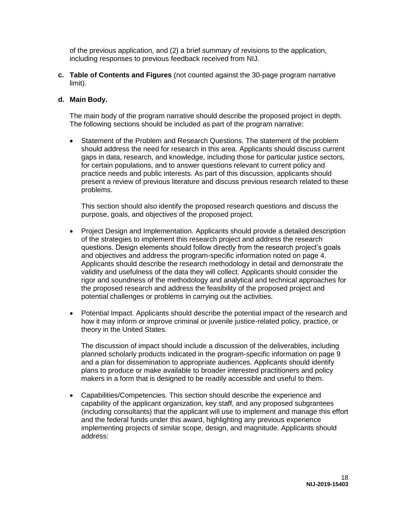of the previous application, and (2) a brief summary of revisions to the application, including responses to previous feedback received from NIJ.

**c. Table of Contents and Figures** (not counted against the 30-page program narrative limit).

#### **d. Main Body.**

The main body of the program narrative should describe the proposed project in depth. The following sections should be included as part of the program narrative:

 Statement of the Problem and Research Questions. The statement of the problem should address the need for research in this area. Applicants should discuss current gaps in data, research, and knowledge, including those for particular justice sectors, for certain populations, and to answer questions relevant to current policy and practice needs and public interests. As part of this discussion, applicants should present a review of previous literature and discuss previous research related to these problems.

This section should also identify the proposed research questions and discuss the purpose, goals, and objectives of the proposed project.

- Project Design and Implementation. Applicants should provide a detailed description of the strategies to implement this research project and address the research questions. Design elements should follow directly from the research project's goals and objectives and address the program-specific information noted on page 4. Applicants should describe the research methodology in detail and demonstrate the validity and usefulness of the data they will collect. Applicants should consider the rigor and soundness of the methodology and analytical and technical approaches for the proposed research and address the feasibility of the proposed project and potential challenges or problems in carrying out the activities.
- Potential Impact. Applicants should describe the potential impact of the research and how it may inform or improve criminal or juvenile justice-related policy, practice, or theory in the United States.

The discussion of impact should include a discussion of the deliverables, including planned scholarly products indicated in the program-specific information on page 9 and a plan for dissemination to appropriate audiences. Applicants should identify plans to produce or make available to broader interested practitioners and policy makers in a form that is designed to be readily accessible and useful to them.

 Capabilities/Competencies. This section should describe the experience and capability of the applicant organization, key staff, and any proposed subgrantees (including consultants) that the applicant will use to implement and manage this effort and the federal funds under this award, highlighting any previous experience implementing projects of similar scope, design, and magnitude. Applicants should address: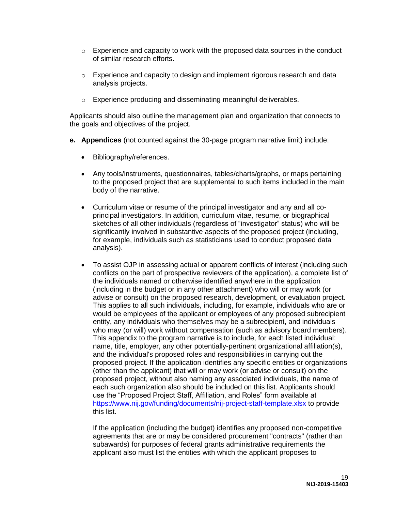- $\circ$  Experience and capacity to work with the proposed data sources in the conduct of similar research efforts.
- o Experience and capacity to design and implement rigorous research and data analysis projects.
- o Experience producing and disseminating meaningful deliverables.

Applicants should also outline the management plan and organization that connects to the goals and objectives of the project.

- **e. Appendices** (not counted against the 30-page program narrative limit) include:
	- Bibliography/references.
	- Any tools/instruments, questionnaires, tables/charts/graphs, or maps pertaining to the proposed project that are supplemental to such items included in the main body of the narrative.
	- Curriculum vitae or resume of the principal investigator and any and all coprincipal investigators. In addition, curriculum vitae, resume, or biographical sketches of all other individuals (regardless of "investigator" status) who will be significantly involved in substantive aspects of the proposed project (including, for example, individuals such as statisticians used to conduct proposed data analysis).
	- To assist OJP in assessing actual or apparent conflicts of interest (including such conflicts on the part of prospective reviewers of the application), a complete list of the individuals named or otherwise identified anywhere in the application (including in the budget or in any other attachment) who will or may work (or advise or consult) on the proposed research, development, or evaluation project. This applies to all such individuals, including, for example, individuals who are or would be employees of the applicant or employees of any proposed subrecipient entity, any individuals who themselves may be a subrecipient, and individuals who may (or will) work without compensation (such as advisory board members). This appendix to the program narrative is to include, for each listed individual: name, title, employer, any other potentially-pertinent organizational affiliation(s), and the individual's proposed roles and responsibilities in carrying out the proposed project. If the application identifies any specific entities or organizations (other than the applicant) that will or may work (or advise or consult) on the proposed project, without also naming any associated individuals, the name of each such organization also should be included on this list. Applicants should use the "Proposed Project Staff, Affiliation, and Roles" form available at <https://www.nij.gov/funding/documents/nij-project-staff-template.xlsx> to provide this list.

If the application (including the budget) identifies any proposed non-competitive agreements that are or may be considered procurement "contracts" (rather than subawards) for purposes of federal grants administrative requirements the applicant also must list the entities with which the applicant proposes to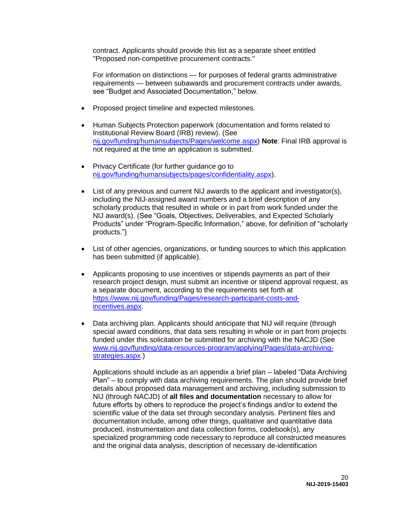contract. Applicants should provide this list as a separate sheet entitled "Proposed non-competitive procurement contracts."

For information on distinctions — for purposes of federal grants administrative requirements — between subawards and procurement contracts under awards, see "Budget and Associated Documentation," below.

- Proposed project timeline and expected milestones.
- Human Subjects Protection paperwork (documentation and forms related to Institutional Review Board (IRB) review). (See [nij.gov/funding/humansubjects/Pages/welcome.aspx\)](https://nij.gov/funding/humansubjects/Pages/welcome.aspx) **Note**: Final IRB approval is not required at the time an application is submitted.
- Privacy Certificate (for further guidance go to [nij.gov/funding/humansubjects/pages/confidentiality.aspx\)](https://nij.gov/funding/humansubjects/pages/confidentiality.aspx).
- List of any previous and current NIJ awards to the applicant and investigator(s), including the NIJ-assigned award numbers and a brief description of any scholarly products that resulted in whole or in part from work funded under the NIJ award(s). (See "Goals, Objectives, Deliverables, and Expected Scholarly Products" under "Program-Specific Information," above, for definition of "scholarly products.")
- List of other agencies, organizations, or funding sources to which this application has been submitted (if applicable).
- Applicants proposing to use incentives or stipends payments as part of their research project design, must submit an incentive or stipend approval request, as a separate document, according to the requirements set forth at [https://www.nij.gov/funding/Pages/research-participant-costs-and](https://www.nij.gov/funding/Pages/research-participant-costs-and-incentives.aspx)[incentives.aspx.](https://www.nij.gov/funding/Pages/research-participant-costs-and-incentives.aspx)
- Data archiving plan. Applicants should anticipate that NIJ will require (through special award conditions, that data sets resulting in whole or in part from projects funded under this solicitation be submitted for archiving with the NACJD (See [www.nij.gov/funding/data-resources-program/applying/Pages/data-archiving](https://www.nij.gov/funding/data-resources-program/applying/Pages/data-archiving-strategies.aspx)[strategies.aspx.](https://www.nij.gov/funding/data-resources-program/applying/Pages/data-archiving-strategies.aspx))

Applications should include as an appendix a brief plan – labeled "Data Archiving Plan" – to comply with data archiving requirements. The plan should provide brief details about proposed data management and archiving, including submission to NIJ (through NACJD) of **all files and documentation** necessary to allow for future efforts by others to reproduce the project's findings and/or to extend the scientific value of the data set through secondary analysis. Pertinent files and documentation include, among other things, qualitative and quantitative data produced, instrumentation and data collection forms, codebook(s), any specialized programming code necessary to reproduce all constructed measures and the original data analysis, description of necessary de-identification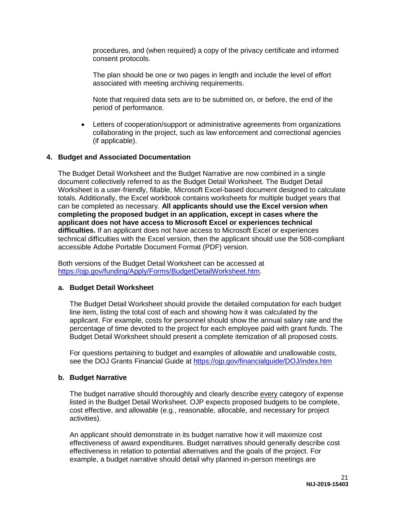procedures, and (when required) a copy of the privacy certificate and informed consent protocols.

The plan should be one or two pages in length and include the level of effort associated with meeting archiving requirements.

Note that required data sets are to be submitted on, or before, the end of the period of performance.

 Letters of cooperation/support or administrative agreements from organizations collaborating in the project, such as law enforcement and correctional agencies (if applicable).

#### **4. Budget and Associated Documentation**

The Budget Detail Worksheet and the Budget Narrative are now combined in a single document collectively referred to as the Budget Detail Worksheet. The Budget Detail Worksheet is a user-friendly, fillable, Microsoft Excel-based document designed to calculate totals. Additionally, the Excel workbook contains worksheets for multiple budget years that can be completed as necessary. **All applicants should use the Excel version when completing the proposed budget in an application, except in cases where the applicant does not have access to Microsoft Excel or experiences technical difficulties.** If an applicant does not have access to Microsoft Excel or experiences technical difficulties with the Excel version, then the applicant should use the 508-compliant accessible Adobe Portable Document Format (PDF) version.

Both versions of the Budget Detail Worksheet can be accessed at https://oip.gov/funding/Apply/Forms/BudgetDetailWorksheet.htm.

#### **a. Budget Detail Worksheet**

The Budget Detail Worksheet should provide the detailed computation for each budget line item, listing the total cost of each and showing how it was calculated by the applicant. For example, costs for personnel should show the annual salary rate and the percentage of time devoted to the project for each employee paid with grant funds. The Budget Detail Worksheet should present a complete itemization of all proposed costs.

For questions pertaining to budget and examples of allowable and unallowable costs, see the DOJ Grants Financial Guide at<https://ojp.gov/financialguide/DOJ/index.htm>

#### **b. Budget Narrative**

The budget narrative should thoroughly and clearly describe every category of expense listed in the Budget Detail Worksheet. OJP expects proposed budgets to be complete, cost effective, and allowable (e.g., reasonable, allocable, and necessary for project activities).

An applicant should demonstrate in its budget narrative how it will maximize cost effectiveness of award expenditures. Budget narratives should generally describe cost effectiveness in relation to potential alternatives and the goals of the project. For example, a budget narrative should detail why planned in-person meetings are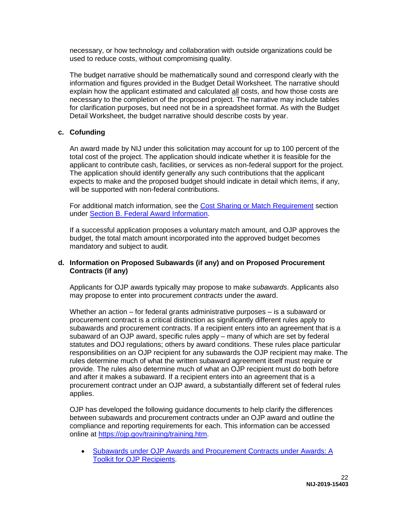necessary, or how technology and collaboration with outside organizations could be used to reduce costs, without compromising quality.

The budget narrative should be mathematically sound and correspond clearly with the information and figures provided in the Budget Detail Worksheet. The narrative should explain how the applicant estimated and calculated all costs, and how those costs are necessary to the completion of the proposed project. The narrative may include tables for clarification purposes, but need not be in a spreadsheet format. As with the Budget Detail Worksheet, the budget narrative should describe costs by year.

#### **c. Cofunding**

An award made by NIJ under this solicitation may account for up to 100 percent of the total cost of the project. The application should indicate whether it is feasible for the applicant to contribute cash, facilities, or services as non-federal support for the project. The application should identify generally any such contributions that the applicant expects to make and the proposed budget should indicate in detail which items, if any, will be supported with non-federal contributions.

For additional match information, see the [Cost Sharing or Match Requirement](#page-13-1) section under [Section B. Federal Award Information.](#page-11-1)

If a successful application proposes a voluntary match amount, and OJP approves the budget, the total match amount incorporated into the approved budget becomes mandatory and subject to audit.

#### **d. Information on Proposed Subawards (if any) and on Proposed Procurement Contracts (if any)**

Applicants for OJP awards typically may propose to make *subawards*. Applicants also may propose to enter into procurement *contracts* under the award.

Whether an action – for federal grants administrative purposes – is a subaward or procurement contract is a critical distinction as significantly different rules apply to subawards and procurement contracts. If a recipient enters into an agreement that is a subaward of an OJP award, specific rules apply – many of which are set by federal statutes and DOJ regulations; others by award conditions. These rules place particular responsibilities on an OJP recipient for any subawards the OJP recipient may make. The rules determine much of what the written subaward agreement itself must require or provide. The rules also determine much of what an OJP recipient must do both before and after it makes a subaward. If a recipient enters into an agreement that is a procurement contract under an OJP award, a substantially different set of federal rules applies.

OJP has developed the following guidance documents to help clarify the differences between subawards and procurement contracts under an OJP award and outline the compliance and reporting requirements for each. This information can be accessed online at [https://ojp.gov/training/training.htm.](https://ojp.gov/training/training.htm)

 [Subawards under OJP Awards and Procurement Contracts under Awards: A](https://ojp.gov/training/pdfs/Subaward-Procure-Toolkit-D.pdf)  [Toolkit for OJP Recipients.](https://ojp.gov/training/pdfs/Subaward-Procure-Toolkit-D.pdf)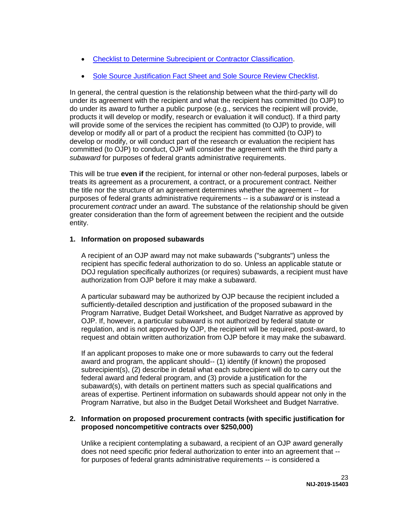- [Checklist to Determine Subrecipient or Contractor Classification.](https://ojp.gov/training/pdfs/Subrecipient-Procure-cklist-B.pdf)
- [Sole Source Justification Fact Sheet and Sole Source Review Checklist.](https://ojp.gov/training/pdfs/Sole-Source-FactSheet-C.pdf)

In general, the central question is the relationship between what the third-party will do under its agreement with the recipient and what the recipient has committed (to OJP) to do under its award to further a public purpose (e.g., services the recipient will provide, products it will develop or modify, research or evaluation it will conduct). If a third party will provide some of the services the recipient has committed (to OJP) to provide, will develop or modify all or part of a product the recipient has committed (to OJP) to develop or modify, or will conduct part of the research or evaluation the recipient has committed (to OJP) to conduct, OJP will consider the agreement with the third party a *subaward* for purposes of federal grants administrative requirements.

This will be true **even if** the recipient, for internal or other non-federal purposes, labels or treats its agreement as a procurement, a contract, or a procurement contract. Neither the title nor the structure of an agreement determines whether the agreement -- for purposes of federal grants administrative requirements -- is a *subaward* or is instead a procurement *contract* under an award. The substance of the relationship should be given greater consideration than the form of agreement between the recipient and the outside entity.

#### **1. Information on proposed subawards**

A recipient of an OJP award may not make subawards ("subgrants") unless the recipient has specific federal authorization to do so. Unless an applicable statute or DOJ regulation specifically authorizes (or requires) subawards, a recipient must have authorization from OJP before it may make a subaward.

A particular subaward may be authorized by OJP because the recipient included a sufficiently-detailed description and justification of the proposed subaward in the Program Narrative, Budget Detail Worksheet, and Budget Narrative as approved by OJP. If, however, a particular subaward is not authorized by federal statute or regulation, and is not approved by OJP, the recipient will be required, post-award, to request and obtain written authorization from OJP before it may make the subaward.

If an applicant proposes to make one or more subawards to carry out the federal award and program, the applicant should-- (1) identify (if known) the proposed subrecipient(s), (2) describe in detail what each subrecipient will do to carry out the federal award and federal program, and (3) provide a justification for the subaward(s), with details on pertinent matters such as special qualifications and areas of expertise. Pertinent information on subawards should appear not only in the Program Narrative, but also in the Budget Detail Worksheet and Budget Narrative.

#### **2. Information on proposed procurement contracts (with specific justification for proposed noncompetitive contracts over \$250,000)**

Unlike a recipient contemplating a subaward, a recipient of an OJP award generally does not need specific prior federal authorization to enter into an agreement that - for purposes of federal grants administrative requirements -- is considered a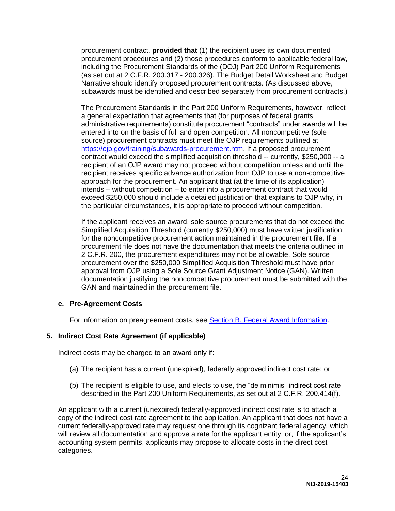procurement contract, **provided that** (1) the recipient uses its own documented procurement procedures and (2) those procedures conform to applicable federal law, including the Procurement Standards of the (DOJ) Part 200 Uniform Requirements (as set out at 2 C.F.R. 200.317 - 200.326). The Budget Detail Worksheet and Budget Narrative should identify proposed procurement contracts. (As discussed above, subawards must be identified and described separately from procurement contracts.)

The Procurement Standards in the Part 200 Uniform Requirements, however, reflect a general expectation that agreements that (for purposes of federal grants administrative requirements) constitute procurement "contracts" under awards will be entered into on the basis of full and open competition. All noncompetitive (sole source) procurement contracts must meet the OJP requirements outlined at [https://ojp.gov/training/subawards-procurement.htm.](https://ojp.gov/training/subawards-procurement.htm) If a proposed procurement contract would exceed the simplified acquisition threshold -- currently, \$250,000 -- a recipient of an OJP award may not proceed without competition unless and until the recipient receives specific advance authorization from OJP to use a non-competitive approach for the procurement. An applicant that (at the time of its application) intends – without competition – to enter into a procurement contract that would exceed \$250,000 should include a detailed justification that explains to OJP why, in the particular circumstances, it is appropriate to proceed without competition.

If the applicant receives an award, sole source procurements that do not exceed the Simplified Acquisition Threshold (currently \$250,000) must have written justification for the noncompetitive procurement action maintained in the procurement file. If a procurement file does not have the documentation that meets the criteria outlined in 2 C.F.R. 200, the procurement expenditures may not be allowable. Sole source procurement over the \$250,000 Simplified Acquisition Threshold must have prior approval from OJP using a Sole Source Grant Adjustment Notice (GAN). Written documentation justifying the noncompetitive procurement must be submitted with the GAN and maintained in the procurement file.

#### **e. Pre-Agreement Costs**

For information on preagreement costs, see [Section B. Federal Award Information.](#page-11-1)

#### **5. Indirect Cost Rate Agreement (if applicable)**

Indirect costs may be charged to an award only if:

- (a) The recipient has a current (unexpired), federally approved indirect cost rate; or
- (b) The recipient is eligible to use, and elects to use, the "de minimis" indirect cost rate described in the Part 200 Uniform Requirements, as set out at 2 C.F.R. 200.414(f).

An applicant with a current (unexpired) federally-approved indirect cost rate is to attach a copy of the indirect cost rate agreement to the application. An applicant that does not have a current federally-approved rate may request one through its cognizant federal agency, which will review all documentation and approve a rate for the applicant entity, or, if the applicant's accounting system permits, applicants may propose to allocate costs in the direct cost categories.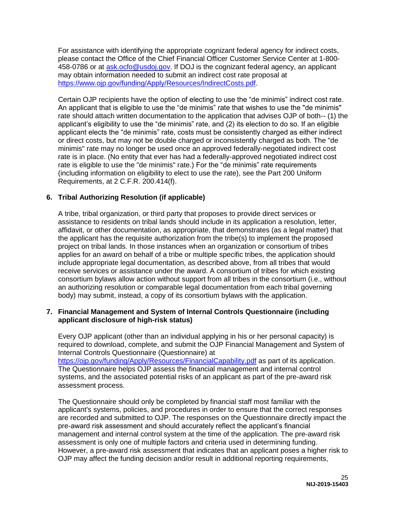For assistance with identifying the appropriate cognizant federal agency for indirect costs, please contact the Office of the Chief Financial Officer Customer Service Center at 1-800- 458-0786 or at [ask.ocfo@usdoj.gov.](mailto:ask.ocfo@usdoj.gov) If DOJ is the cognizant federal agency, an applicant may obtain information needed to submit an indirect cost rate proposal at [https://www.ojp.gov/funding/Apply/Resources/IndirectCosts.pdf.](https://www.ojp.gov/funding/Apply/Resources/IndirectCosts.pdf)

Certain OJP recipients have the option of electing to use the "de minimis" indirect cost rate. An applicant that is eligible to use the "de minimis" rate that wishes to use the "de minimis" rate should attach written documentation to the application that advises OJP of both-- (1) the applicant's eligibility to use the "de minimis" rate, and (2) its election to do so. If an eligible applicant elects the "de minimis" rate, costs must be consistently charged as either indirect or direct costs, but may not be double charged or inconsistently charged as both. The "de minimis" rate may no longer be used once an approved federally-negotiated indirect cost rate is in place. (No entity that ever has had a federally-approved negotiated indirect cost rate is eligible to use the "de minimis" rate.) For the "de minimis" rate requirements (including information on eligibility to elect to use the rate), see the Part 200 Uniform Requirements, at 2 C.F.R. 200.414(f).

#### **6. Tribal Authorizing Resolution (if applicable)**

A tribe, tribal organization, or third party that proposes to provide direct services or assistance to residents on tribal lands should include in its application a resolution, letter, affidavit, or other documentation, as appropriate, that demonstrates (as a legal matter) that the applicant has the requisite authorization from the tribe(s) to implement the proposed project on tribal lands. In those instances when an organization or consortium of tribes applies for an award on behalf of a tribe or multiple specific tribes, the application should include appropriate legal documentation, as described above, from all tribes that would receive services or assistance under the award. A consortium of tribes for which existing consortium bylaws allow action without support from all tribes in the consortium (i.e., without an authorizing resolution or comparable legal documentation from each tribal governing body) may submit, instead, a copy of its consortium bylaws with the application.

#### **7. Financial Management and System of Internal Controls Questionnaire (including applicant disclosure of high-risk status)**

Every OJP applicant (other than an individual applying in his or her personal capacity) is required to download, complete, and submit the OJP Financial Management and System of Internal Controls Questionnaire (Questionnaire) at <https://ojp.gov/funding/Apply/Resources/FinancialCapability.pdf> as part of its application. The Questionnaire helps OJP assess the financial management and internal control systems, and the associated potential risks of an applicant as part of the pre-award risk assessment process.

The Questionnaire should only be completed by financial staff most familiar with the applicant's systems, policies, and procedures in order to ensure that the correct responses are recorded and submitted to OJP. The responses on the Questionnaire directly impact the pre-award risk assessment and should accurately reflect the applicant's financial management and internal control system at the time of the application. The pre-award risk assessment is only one of multiple factors and criteria used in determining funding. However, a pre-award risk assessment that indicates that an applicant poses a higher risk to OJP may affect the funding decision and/or result in additional reporting requirements,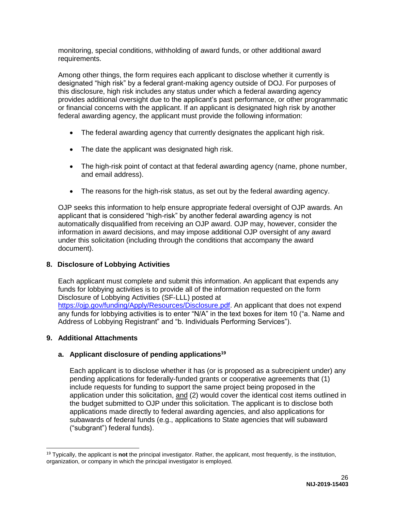monitoring, special conditions, withholding of award funds, or other additional award requirements.

Among other things, the form requires each applicant to disclose whether it currently is designated "high risk" by a federal grant-making agency outside of DOJ. For purposes of this disclosure, high risk includes any status under which a federal awarding agency provides additional oversight due to the applicant's past performance, or other programmatic or financial concerns with the applicant. If an applicant is designated high risk by another federal awarding agency, the applicant must provide the following information:

- The federal awarding agency that currently designates the applicant high risk.
- The date the applicant was designated high risk.
- The high-risk point of contact at that federal awarding agency (name, phone number, and email address).
- The reasons for the high-risk status, as set out by the federal awarding agency.

OJP seeks this information to help ensure appropriate federal oversight of OJP awards. An applicant that is considered "high-risk" by another federal awarding agency is not automatically disqualified from receiving an OJP award. OJP may, however, consider the information in award decisions, and may impose additional OJP oversight of any award under this solicitation (including through the conditions that accompany the award document).

#### **8. Disclosure of Lobbying Activities**

Each applicant must complete and submit this information. An applicant that expends any funds for lobbying activities is to provide all of the information requested on the form Disclosure of Lobbying Activities (SF-LLL) posted at [https://ojp.gov/funding/Apply/Resources/Disclosure.pdf.](https://ojp.gov/funding/Apply/Resources/Disclosure.pdf) An applicant that does not expend any funds for lobbying activities is to enter "N/A" in the text boxes for item 10 ("a. Name and Address of Lobbying Registrant" and "b. Individuals Performing Services").

#### **9. Additional Attachments**

#### **a. Applicant disclosure of pending applications<sup>19</sup>**

Each applicant is to disclose whether it has (or is proposed as a subrecipient under) any pending applications for federally-funded grants or cooperative agreements that (1) include requests for funding to support the same project being proposed in the application under this solicitation, and (2) would cover the identical cost items outlined in the budget submitted to OJP under this solicitation. The applicant is to disclose both applications made directly to federal awarding agencies, and also applications for subawards of federal funds (e.g., applications to State agencies that will subaward ("subgrant") federal funds).

 $\overline{a}$ <sup>19</sup> Typically, the applicant is **not** the principal investigator. Rather, the applicant, most frequently, is the institution, organization, or company in which the principal investigator is employed.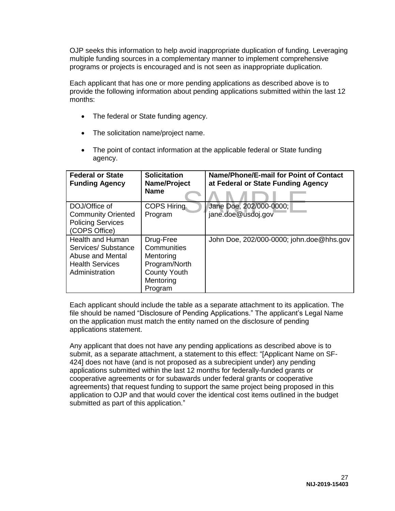OJP seeks this information to help avoid inappropriate duplication of funding. Leveraging multiple funding sources in a complementary manner to implement comprehensive programs or projects is encouraged and is not seen as inappropriate duplication.

Each applicant that has one or more pending applications as described above is to provide the following information about pending applications submitted within the last 12 months:

- The federal or State funding agency.
- The solicitation name/project name.
- The point of contact information at the applicable federal or State funding agency.

| <b>Federal or State</b><br><b>Funding Agency</b>                                                              | <b>Solicitation</b><br>Name/Project<br><b>Name</b>                                                    | Name/Phone/E-mail for Point of Contact<br>at Federal or State Funding Agency |
|---------------------------------------------------------------------------------------------------------------|-------------------------------------------------------------------------------------------------------|------------------------------------------------------------------------------|
| DOJ/Office of<br><b>Community Oriented</b><br><b>Policing Services</b><br>(COPS Office)                       | <b>COPS Hiring</b><br>Program                                                                         | Jane Doe, 202/000-0000;<br>jane.doe@usdoj.gov                                |
| <b>Health and Human</b><br>Services/Substance<br>Abuse and Mental<br><b>Health Services</b><br>Administration | Drug-Free<br>Communities<br>Mentoring<br>Program/North<br><b>County Youth</b><br>Mentoring<br>Program | John Doe, 202/000-0000; john.doe@hhs.gov                                     |

Each applicant should include the table as a separate attachment to its application. The file should be named "Disclosure of Pending Applications." The applicant's Legal Name on the application must match the entity named on the disclosure of pending applications statement.

Any applicant that does not have any pending applications as described above is to submit, as a separate attachment, a statement to this effect: "[Applicant Name on SF-424] does not have (and is not proposed as a subrecipient under) any pending applications submitted within the last 12 months for federally-funded grants or cooperative agreements or for subawards under federal grants or cooperative agreements) that request funding to support the same project being proposed in this application to OJP and that would cover the identical cost items outlined in the budget submitted as part of this application."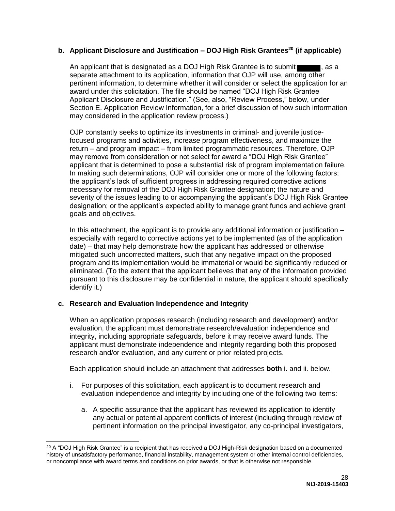#### **b. Applicant Disclosure and Justification – DOJ High Risk Grantees<sup>20</sup> (if applicable)**

An applicant that is designated as a DOJ High Risk Grantee is to submit separate attachment to its application, information that OJP will use, among other pertinent information, to determine whether it will consider or select the application for an award under this solicitation. The file should be named "DOJ High Risk Grantee Applicant Disclosure and Justification." (See, also, "Review Process," below, under Section E. Application Review Information, for a brief discussion of how such information may considered in the application review process.)

OJP constantly seeks to optimize its investments in criminal- and juvenile justicefocused programs and activities, increase program effectiveness, and maximize the return – and program impact – from limited programmatic resources. Therefore, OJP may remove from consideration or not select for award a "DOJ High Risk Grantee" applicant that is determined to pose a substantial risk of program implementation failure. In making such determinations, OJP will consider one or more of the following factors: the applicant's lack of sufficient progress in addressing required corrective actions necessary for removal of the DOJ High Risk Grantee designation; the nature and severity of the issues leading to or accompanying the applicant's DOJ High Risk Grantee designation; or the applicant's expected ability to manage grant funds and achieve grant goals and objectives.

In this attachment, the applicant is to provide any additional information or justification – especially with regard to corrective actions yet to be implemented (as of the application date) – that may help demonstrate how the applicant has addressed or otherwise mitigated such uncorrected matters, such that any negative impact on the proposed program and its implementation would be immaterial or would be significantly reduced or eliminated. (To the extent that the applicant believes that any of the information provided pursuant to this disclosure may be confidential in nature, the applicant should specifically identify it.)

#### **c. Research and Evaluation Independence and Integrity**

When an application proposes research (including research and development) and/or evaluation, the applicant must demonstrate research/evaluation independence and integrity, including appropriate safeguards, before it may receive award funds. The applicant must demonstrate independence and integrity regarding both this proposed research and/or evaluation, and any current or prior related projects.

Each application should include an attachment that addresses **both** i. and ii. below.

- i. For purposes of this solicitation, each applicant is to document research and evaluation independence and integrity by including one of the following two items:
	- a. A specific assurance that the applicant has reviewed its application to identify any actual or potential apparent conflicts of interest (including through review of pertinent information on the principal investigator, any co-principal investigators,

 $20$  A "DOJ High Risk Grantee" is a recipient that has received a DOJ High-Risk designation based on a documented history of unsatisfactory performance, financial instability, management system or other internal control deficiencies, or noncompliance with award terms and conditions on prior awards, or that is otherwise not responsible.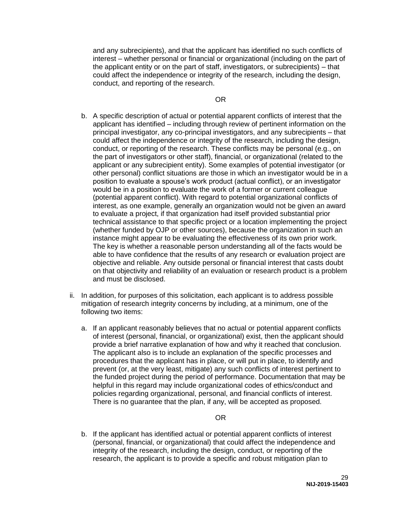and any subrecipients), and that the applicant has identified no such conflicts of interest – whether personal or financial or organizational (including on the part of the applicant entity or on the part of staff, investigators, or subrecipients) – that could affect the independence or integrity of the research, including the design, conduct, and reporting of the research.

OR

- b. A specific description of actual or potential apparent conflicts of interest that the applicant has identified – including through review of pertinent information on the principal investigator, any co-principal investigators, and any subrecipients – that could affect the independence or integrity of the research, including the design, conduct, or reporting of the research. These conflicts may be personal (e.g., on the part of investigators or other staff), financial, or organizational (related to the applicant or any subrecipient entity). Some examples of potential investigator (or other personal) conflict situations are those in which an investigator would be in a position to evaluate a spouse's work product (actual conflict), or an investigator would be in a position to evaluate the work of a former or current colleague (potential apparent conflict). With regard to potential organizational conflicts of interest, as one example, generally an organization would not be given an award to evaluate a project, if that organization had itself provided substantial prior technical assistance to that specific project or a location implementing the project (whether funded by OJP or other sources), because the organization in such an instance might appear to be evaluating the effectiveness of its own prior work. The key is whether a reasonable person understanding all of the facts would be able to have confidence that the results of any research or evaluation project are objective and reliable. Any outside personal or financial interest that casts doubt on that objectivity and reliability of an evaluation or research product is a problem and must be disclosed.
- ii. In addition, for purposes of this solicitation, each applicant is to address possible mitigation of research integrity concerns by including, at a minimum, one of the following two items:
	- a. If an applicant reasonably believes that no actual or potential apparent conflicts of interest (personal, financial, or organizational) exist, then the applicant should provide a brief narrative explanation of how and why it reached that conclusion. The applicant also is to include an explanation of the specific processes and procedures that the applicant has in place, or will put in place, to identify and prevent (or, at the very least, mitigate) any such conflicts of interest pertinent to the funded project during the period of performance. Documentation that may be helpful in this regard may include organizational codes of ethics/conduct and policies regarding organizational, personal, and financial conflicts of interest. There is no guarantee that the plan, if any, will be accepted as proposed.

#### OR

b. If the applicant has identified actual or potential apparent conflicts of interest (personal, financial, or organizational) that could affect the independence and integrity of the research, including the design, conduct, or reporting of the research, the applicant is to provide a specific and robust mitigation plan to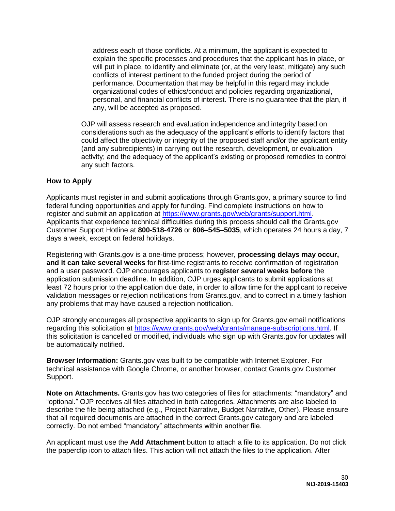address each of those conflicts. At a minimum, the applicant is expected to explain the specific processes and procedures that the applicant has in place, or will put in place, to identify and eliminate (or, at the very least, mitigate) any such conflicts of interest pertinent to the funded project during the period of performance. Documentation that may be helpful in this regard may include organizational codes of ethics/conduct and policies regarding organizational, personal, and financial conflicts of interest. There is no guarantee that the plan, if any, will be accepted as proposed.

OJP will assess research and evaluation independence and integrity based on considerations such as the adequacy of the applicant's efforts to identify factors that could affect the objectivity or integrity of the proposed staff and/or the applicant entity (and any subrecipients) in carrying out the research, development, or evaluation activity; and the adequacy of the applicant's existing or proposed remedies to control any such factors.

#### <span id="page-30-0"></span>**How to Apply**

Applicants must register in and submit applications through Grants.gov, a primary source to find federal funding opportunities and apply for funding. Find complete instructions on how to register and submit an application at [https://www.grants.gov/web/grants/support.html.](https://www.grants.gov/web/grants/support.html) Applicants that experience technical difficulties during this process should call the Grants.gov Customer Support Hotline at **800**-**518**-**4726** or **606–545–5035**, which operates 24 hours a day, 7 days a week, except on federal holidays.

Registering with Grants.gov is a one-time process; however, **processing delays may occur, and it can take several weeks** for first-time registrants to receive confirmation of registration and a user password. OJP encourages applicants to **register several weeks before** the application submission deadline. In addition, OJP urges applicants to submit applications at least 72 hours prior to the application due date, in order to allow time for the applicant to receive validation messages or rejection notifications from Grants.gov, and to correct in a timely fashion any problems that may have caused a rejection notification.

OJP strongly encourages all prospective applicants to sign up for Grants.gov email notifications regarding this solicitation at [https://www.grants.gov/web/grants/manage-subscriptions.html.](https://www.grants.gov/web/grants/manage-subscriptions.html) If this solicitation is cancelled or modified, individuals who sign up with Grants.gov for updates will be automatically notified.

**Browser Information:** Grants.gov was built to be compatible with Internet Explorer. For technical assistance with Google Chrome, or another browser, contact Grants.gov Customer Support.

**Note on Attachments.** Grants.gov has two categories of files for attachments: "mandatory" and "optional." OJP receives all files attached in both categories. Attachments are also labeled to describe the file being attached (e.g., Project Narrative, Budget Narrative, Other). Please ensure that all required documents are attached in the correct Grants.gov category and are labeled correctly. Do not embed "mandatory" attachments within another file.

An applicant must use the **Add Attachment** button to attach a file to its application. Do not click the paperclip icon to attach files. This action will not attach the files to the application. After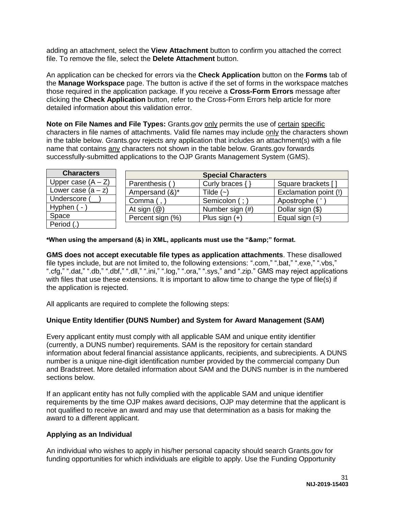adding an attachment, select the **View Attachment** button to confirm you attached the correct file. To remove the file, select the **Delete Attachment** button.

An application can be checked for errors via the **Check Application** button on the **Forms** tab of the **Manage Workspace** page. The button is active if the set of forms in the workspace matches those required in the application package. If you receive a **Cross-Form Errors** message after clicking the **Check Application** button, refer to the Cross-Form Errors help article for more detailed information about this validation error.

**Note on File Names and File Types:** Grants.gov only permits the use of certain specific characters in file names of attachments. Valid file names may include only the characters shown in the table below. Grants.gov rejects any application that includes an attachment(s) with a file name that contains any characters not shown in the table below. Grants.gov forwards successfully-submitted applications to the OJP Grants Management System (GMS).

| <b>Characters</b>    | <b>Special Characters</b> |                 |                       |
|----------------------|---------------------------|-----------------|-----------------------|
| Upper case $(A - Z)$ | Parenthesis (             | Curly braces {  | Square brackets [     |
| Lower case $(a - z)$ | Ampersand (&)*            | Tilde $(-)$     | Exclamation point (!) |
| Underscore (         | Comma $($ , $)$           | Semicolon (; )  | Apostrophe (          |
| Hyphen $(-)$         | At sign $(\mathcal{Q})$   | Number sign (#) | Dollar sign (\$)      |
| Space                | Percent sign (%)          | Plus sign $(+)$ | Equal sign $(=)$      |
| Period (.)           |                           |                 |                       |

\*When using the ampersand (&) in XML, applicants must use the "&" format.

**GMS does not accept executable file types as application attachments**. These disallowed file types include, but are not limited to, the following extensions: ".com," ".bat," ".exe," ".vbs," ".cfg," ".dat," ".db," ".dbf," ".dll," ".ini," ".log," ".ora," ".sys," and ".zip." GMS may reject applications with files that use these extensions. It is important to allow time to change the type of file(s) if the application is rejected.

All applicants are required to complete the following steps:

#### **Unique Entity Identifier (DUNS Number) and System for Award Management (SAM)**

Every applicant entity must comply with all applicable SAM and unique entity identifier (currently, a DUNS number) requirements. SAM is the repository for certain standard information about federal financial assistance applicants, recipients, and subrecipients. A DUNS number is a unique nine-digit identification number provided by the commercial company Dun and Bradstreet. More detailed information about SAM and the DUNS number is in the numbered sections below.

If an applicant entity has not fully complied with the applicable SAM and unique identifier requirements by the time OJP makes award decisions, OJP may determine that the applicant is not qualified to receive an award and may use that determination as a basis for making the award to a different applicant.

#### **Applying as an Individual**

An individual who wishes to apply in his/her personal capacity should search Grants.gov for funding opportunities for which individuals are eligible to apply. Use the Funding Opportunity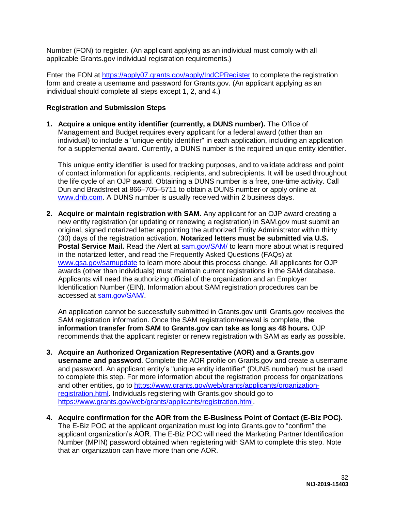Number (FON) to register. (An applicant applying as an individual must comply with all applicable Grants.gov individual registration requirements.)

Enter the FON at<https://apply07.grants.gov/apply/IndCPRegister>to complete the registration form and create a username and password for Grants.gov. (An applicant applying as an individual should complete all steps except 1, 2, and 4.)

#### **Registration and Submission Steps**

**1. Acquire a unique entity identifier (currently, a DUNS number).** The Office of Management and Budget requires every applicant for a federal award (other than an individual) to include a "unique entity identifier" in each application, including an application for a supplemental award. Currently, a DUNS number is the required unique entity identifier.

This unique entity identifier is used for tracking purposes, and to validate address and point of contact information for applicants, recipients, and subrecipients. It will be used throughout the life cycle of an OJP award. Obtaining a DUNS number is a free, one-time activity. Call Dun and Bradstreet at 866–705–5711 to obtain a DUNS number or apply online at [www.dnb.com.](https://www.dnb.com/) A DUNS number is usually received within 2 business days.

**2. Acquire or maintain registration with SAM.** Any applicant for an OJP award creating a new entity registration (or updating or renewing a registration) in SAM.gov must submit an original, signed notarized letter appointing the authorized Entity Administrator within thirty (30) days of the registration activation. **Notarized letters must be submitted via U.S. Postal Service Mail.** Read the Alert at [sam.gov/SAM/](https://sam.gov/SAM/) to learn more about what is required in the notarized letter, and read the Frequently Asked Questions (FAQs) at [www.gsa.gov/samupdate](https://www.gsa.gov/samupdate) to learn more about this process change. All applicants for OJP awards (other than individuals) must maintain current registrations in the SAM database. Applicants will need the authorizing official of the organization and an Employer Identification Number (EIN). Information about SAM registration procedures can be accessed at [sam.gov/SAM/.](https://sam.gov/SAM/)

An application cannot be successfully submitted in Grants.gov until Grants.gov receives the SAM registration information. Once the SAM registration/renewal is complete, **the information transfer from SAM to Grants.gov can take as long as 48 hours.** OJP recommends that the applicant register or renew registration with SAM as early as possible.

- **3. Acquire an Authorized Organization Representative (AOR) and a Grants.gov username and password**. Complete the AOR profile on Grants.gov and create a username and password. An applicant entity's "unique entity identifier" (DUNS number) must be used to complete this step. For more information about the registration process for organizations and other entities, go to [https://www.grants.gov/web/grants/applicants/organization](https://www.grants.gov/web/grants/applicants/organization-registration.html)[registration.html.](https://www.grants.gov/web/grants/applicants/organization-registration.html) Individuals registering with Grants.gov should go to [https://www.grants.gov/web/grants/applicants/registration.html.](https://www.grants.gov/web/grants/applicants/registration.html)
- **4. Acquire confirmation for the AOR from the E-Business Point of Contact (E-Biz POC).**  The E-Biz POC at the applicant organization must log into Grants.gov to "confirm" the applicant organization's AOR. The E-Biz POC will need the Marketing Partner Identification Number (MPIN) password obtained when registering with SAM to complete this step. Note that an organization can have more than one AOR.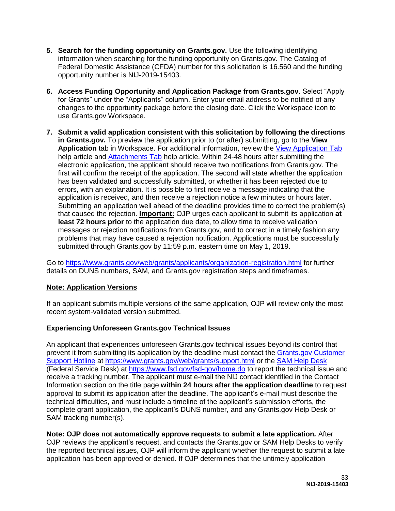- **5. Search for the funding opportunity on Grants.gov.** Use the following identifying information when searching for the funding opportunity on Grants.gov. The Catalog of Federal Domestic Assistance (CFDA) number for this solicitation is 16.560 and the funding opportunity number is NIJ-2019-15403.
- **6. Access Funding Opportunity and Application Package from Grants.gov**. Select "Apply for Grants" under the "Applicants" column. Enter your email address to be notified of any changes to the opportunity package before the closing date. Click the Workspace icon to use Grants.gov Workspace.
- **7. Submit a valid application consistent with this solicitation by following the directions in Grants.gov.** To preview the application prior to (or after) submitting, go to the **View Application** tab in Workspace. For additional information, review the [View Application Tab](https://www.grants.gov/help/html/help/ManageWorkspaces/ViewApplicationTab.htm) help article and [Attachments Tab](https://www.grants.gov/help/html/help/ManageWorkspaces/AttachmentsTab.htm) help article. Within 24-48 hours after submitting the electronic application, the applicant should receive two notifications from Grants.gov. The first will confirm the receipt of the application. The second will state whether the application has been validated and successfully submitted, or whether it has been rejected due to errors, with an explanation. It is possible to first receive a message indicating that the application is received, and then receive a rejection notice a few minutes or hours later. Submitting an application well ahead of the deadline provides time to correct the problem(s) that caused the rejection. **Important:** OJP urges each applicant to submit its application **at least 72 hours prior** to the application due date, to allow time to receive validation messages or rejection notifications from Grants.gov, and to correct in a timely fashion any problems that may have caused a rejection notification. Applications must be successfully submitted through Grants.gov by 11:59 p.m. eastern time on May 1, 2019.

Go to<https://www.grants.gov/web/grants/applicants/organization-registration.html>for further details on DUNS numbers, SAM, and Grants.gov registration steps and timeframes.

#### **Note: Application Versions**

If an applicant submits multiple versions of the same application, OJP will review only the most recent system-validated version submitted.

#### **Experiencing Unforeseen Grants.gov Technical Issues**

An applicant that experiences unforeseen Grants.gov technical issues beyond its control that prevent it from submitting its application by the deadline must contact the [Grants.gov Customer](mailto:support@grants.gov)  [Support Hotline](mailto:support@grants.gov) at [https://www.grants.gov/web/grants/support.html](https://www.grants.gov/web/grants/support.htmlo) or the [SAM Help Desk](https://www.fsd.gov/) (Federal Service Desk) at<https://www.fsd.gov/fsd-gov/home.do>to report the technical issue and receive a tracking number. The applicant must e-mail the NIJ contact identified in the Contact Information section on the title page **within 24 hours after the application deadline** to request approval to submit its application after the deadline. The applicant's e-mail must describe the technical difficulties, and must include a timeline of the applicant's submission efforts, the complete grant application, the applicant's DUNS number, and any Grants.gov Help Desk or SAM tracking number(s).

**Note: OJP does not automatically approve requests to submit a late application***.* After OJP reviews the applicant's request, and contacts the Grants.gov or SAM Help Desks to verify

the reported technical issues, OJP will inform the applicant whether the request to submit a late application has been approved or denied. If OJP determines that the untimely application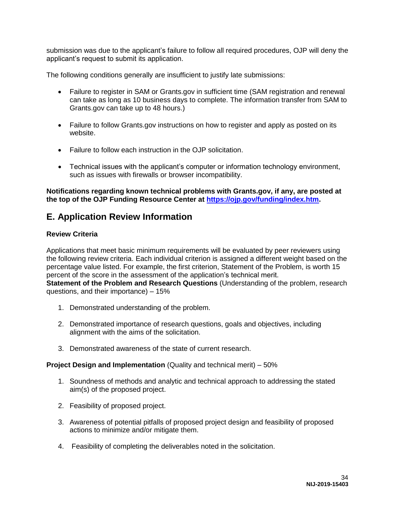submission was due to the applicant's failure to follow all required procedures, OJP will deny the applicant's request to submit its application.

The following conditions generally are insufficient to justify late submissions:

- Failure to register in SAM or Grants.gov in sufficient time (SAM registration and renewal can take as long as 10 business days to complete. The information transfer from SAM to Grants.gov can take up to 48 hours.)
- Failure to follow Grants.gov instructions on how to register and apply as posted on its website.
- Failure to follow each instruction in the OJP solicitation.
- Technical issues with the applicant's computer or information technology environment, such as issues with firewalls or browser incompatibility.

#### **Notifications regarding known technical problems with Grants.gov, if any, are posted at the top of the OJP Funding Resource Center at [https://ojp.gov/funding/index.htm.](https://ojp.gov/funding/index.htm)**

### <span id="page-34-0"></span>**E. Application Review Information**

#### <span id="page-34-1"></span>**Review Criteria**

Applications that meet basic minimum requirements will be evaluated by peer reviewers using the following review criteria. Each individual criterion is assigned a different weight based on the percentage value listed. For example, the first criterion, Statement of the Problem, is worth 15 percent of the score in the assessment of the application's technical merit. **Statement of the Problem and Research Questions** (Understanding of the problem, research questions, and their importance) – 15%

- 1. Demonstrated understanding of the problem.
- 2. Demonstrated importance of research questions, goals and objectives, including alignment with the aims of the solicitation.
- 3. Demonstrated awareness of the state of current research.

#### **Project Design and Implementation** (Quality and technical merit) – 50%

- 1. Soundness of methods and analytic and technical approach to addressing the stated aim(s) of the proposed project.
- 2. Feasibility of proposed project.
- 3. Awareness of potential pitfalls of proposed project design and feasibility of proposed actions to minimize and/or mitigate them.
- 4. Feasibility of completing the deliverables noted in the solicitation.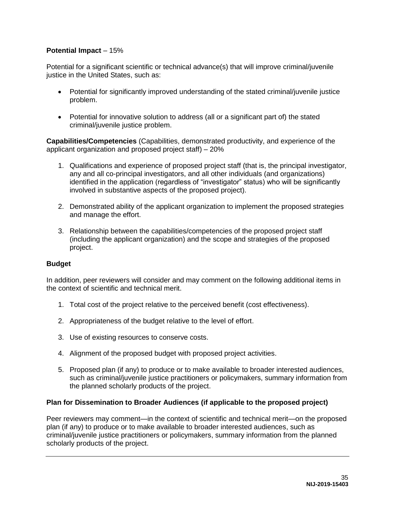#### **Potential Impact** – 15%

Potential for a significant scientific or technical advance(s) that will improve criminal/juvenile justice in the United States, such as:

- Potential for significantly improved understanding of the stated criminal/juvenile justice problem.
- Potential for innovative solution to address (all or a significant part of) the stated criminal/juvenile justice problem.

**Capabilities/Competencies** (Capabilities, demonstrated productivity, and experience of the applicant organization and proposed project staff) – 20%

- 1. Qualifications and experience of proposed project staff (that is, the principal investigator, any and all co-principal investigators, and all other individuals (and organizations) identified in the application (regardless of "investigator" status) who will be significantly involved in substantive aspects of the proposed project).
- 2. Demonstrated ability of the applicant organization to implement the proposed strategies and manage the effort.
- 3. Relationship between the capabilities/competencies of the proposed project staff (including the applicant organization) and the scope and strategies of the proposed project.

#### **Budget**

In addition, peer reviewers will consider and may comment on the following additional items in the context of scientific and technical merit.

- 1. Total cost of the project relative to the perceived benefit (cost effectiveness).
- 2. Appropriateness of the budget relative to the level of effort.
- 3. Use of existing resources to conserve costs.
- 4. Alignment of the proposed budget with proposed project activities.
- 5. Proposed plan (if any) to produce or to make available to broader interested audiences, such as criminal/juvenile justice practitioners or policymakers, summary information from the planned scholarly products of the project.

#### **Plan for Dissemination to Broader Audiences (if applicable to the proposed project)**

Peer reviewers may comment—in the context of scientific and technical merit—on the proposed plan (if any) to produce or to make available to broader interested audiences, such as criminal/juvenile justice practitioners or policymakers, summary information from the planned scholarly products of the project.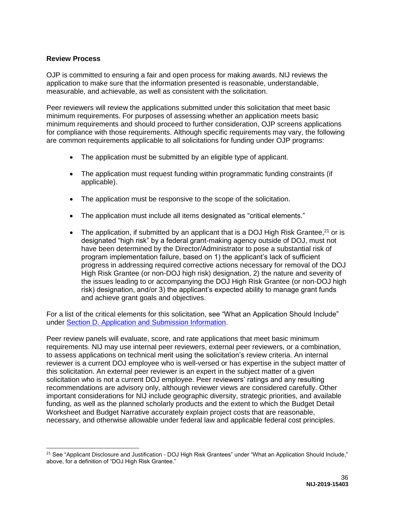#### <span id="page-36-0"></span>**Review Process**

 $\overline{a}$ 

OJP is committed to ensuring a fair and open process for making awards. NIJ reviews the application to make sure that the information presented is reasonable, understandable, measurable, and achievable, as well as consistent with the solicitation.

Peer reviewers will review the applications submitted under this solicitation that meet basic minimum requirements. For purposes of assessing whether an application meets basic minimum requirements and should proceed to further consideration, OJP screens applications for compliance with those requirements. Although specific requirements may vary, the following are common requirements applicable to all solicitations for funding under OJP programs:

- The application must be submitted by an eligible type of applicant.
- The application must request funding within programmatic funding constraints (if applicable).
- The application must be responsive to the scope of the solicitation.
- The application must include all items designated as "critical elements."
- The application, if submitted by an applicant that is a DOJ High Risk Grantee,  $21$  or is designated "high risk" by a federal grant-making agency outside of DOJ, must not have been determined by the Director/Administrator to pose a substantial risk of program implementation failure, based on 1) the applicant's lack of sufficient progress in addressing required corrective actions necessary for removal of the DOJ High Risk Grantee (or non-DOJ high risk) designation, 2) the nature and severity of the issues leading to or accompanying the DOJ High Risk Grantee (or non-DOJ high risk) designation, and/or 3) the applicant's expected ability to manage grant funds and achieve grant goals and objectives.

For a list of the critical elements for this solicitation, see "What an Application Should Include" under [Section D. Application and Submission Information.](#page-15-0)

Peer review panels will evaluate, score, and rate applications that meet basic minimum requirements. NIJ may use internal peer reviewers, external peer reviewers, or a combination, to assess applications on technical merit using the solicitation's review criteria. An internal reviewer is a current DOJ employee who is well-versed or has expertise in the subject matter of this solicitation. An external peer reviewer is an expert in the subject matter of a given solicitation who is not a current DOJ employee. Peer reviewers' ratings and any resulting recommendations are advisory only, although reviewer views are considered carefully. Other important considerations for NIJ include geographic diversity, strategic priorities, and available funding, as well as the planned scholarly products and the extent to which the Budget Detail Worksheet and Budget Narrative accurately explain project costs that are reasonable, necessary, and otherwise allowable under federal law and applicable federal cost principles.

<sup>&</sup>lt;sup>21</sup> See "Applicant Disclosure and Justification - DOJ High Risk Grantees" under "What an Application Should Include," above, for a definition of "DOJ High Risk Grantee."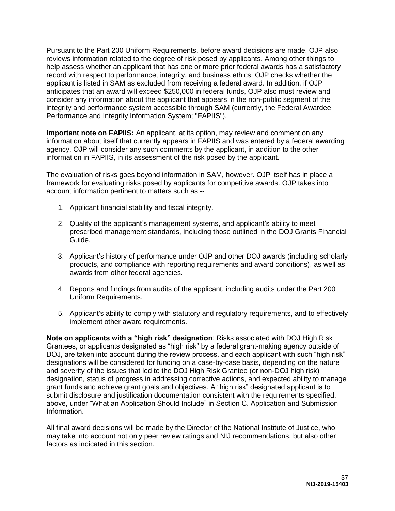Pursuant to the Part 200 Uniform Requirements, before award decisions are made, OJP also reviews information related to the degree of risk posed by applicants. Among other things to help assess whether an applicant that has one or more prior federal awards has a satisfactory record with respect to performance, integrity, and business ethics, OJP checks whether the applicant is listed in SAM as excluded from receiving a federal award. In addition, if OJP anticipates that an award will exceed \$250,000 in federal funds, OJP also must review and consider any information about the applicant that appears in the non-public segment of the integrity and performance system accessible through SAM (currently, the Federal Awardee Performance and Integrity Information System; "FAPIIS").

**Important note on FAPIIS:** An applicant, at its option, may review and comment on any information about itself that currently appears in FAPIIS and was entered by a federal awarding agency. OJP will consider any such comments by the applicant, in addition to the other information in FAPIIS, in its assessment of the risk posed by the applicant.

The evaluation of risks goes beyond information in SAM, however. OJP itself has in place a framework for evaluating risks posed by applicants for competitive awards. OJP takes into account information pertinent to matters such as --

- 1. Applicant financial stability and fiscal integrity.
- 2. Quality of the applicant's management systems, and applicant's ability to meet prescribed management standards, including those outlined in the DOJ Grants Financial Guide.
- 3. Applicant's history of performance under OJP and other DOJ awards (including scholarly products, and compliance with reporting requirements and award conditions), as well as awards from other federal agencies.
- 4. Reports and findings from audits of the applicant, including audits under the Part 200 Uniform Requirements.
- 5. Applicant's ability to comply with statutory and regulatory requirements, and to effectively implement other award requirements.

**Note on applicants with a "high risk" designation**: Risks associated with DOJ High Risk Grantees, or applicants designated as "high risk" by a federal grant-making agency outside of DOJ, are taken into account during the review process, and each applicant with such "high risk" designations will be considered for funding on a case-by-case basis, depending on the nature and severity of the issues that led to the DOJ High Risk Grantee (or non-DOJ high risk) designation, status of progress in addressing corrective actions, and expected ability to manage grant funds and achieve grant goals and objectives. A "high risk" designated applicant is to submit disclosure and justification documentation consistent with the requirements specified, above, under "What an Application Should Include" in Section C. Application and Submission Information.

All final award decisions will be made by the Director of the National Institute of Justice, who may take into account not only peer review ratings and NIJ recommendations, but also other factors as indicated in this section.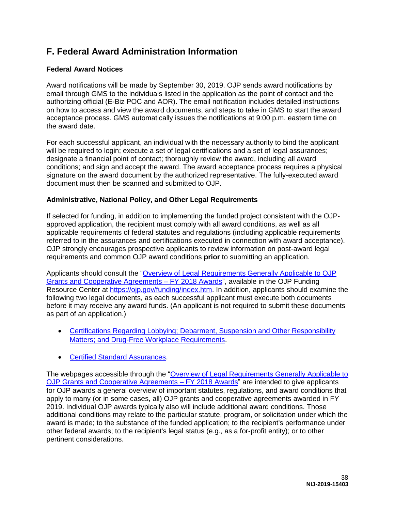## <span id="page-38-0"></span>**F. Federal Award Administration Information**

#### <span id="page-38-1"></span>**Federal Award Notices**

Award notifications will be made by September 30, 2019. OJP sends award notifications by email through GMS to the individuals listed in the application as the point of contact and the authorizing official (E-Biz POC and AOR). The email notification includes detailed instructions on how to access and view the award documents, and steps to take in GMS to start the award acceptance process. GMS automatically issues the notifications at 9:00 p.m. eastern time on the award date.

For each successful applicant, an individual with the necessary authority to bind the applicant will be required to login; execute a set of legal certifications and a set of legal assurances; designate a financial point of contact; thoroughly review the award, including all award conditions; and sign and accept the award. The award acceptance process requires a physical signature on the award document by the authorized representative. The fully-executed award document must then be scanned and submitted to OJP.

#### <span id="page-38-2"></span>**Administrative, National Policy, and Other Legal Requirements**

If selected for funding, in addition to implementing the funded project consistent with the OJPapproved application, the recipient must comply with all award conditions, as well as all applicable requirements of federal statutes and regulations (including applicable requirements referred to in the assurances and certifications executed in connection with award acceptance). OJP strongly encourages prospective applicants to review information on post-award legal requirements and common OJP award conditions **prior** to submitting an application.

Applicants should consult the ["Overview of Legal Requirements Generally Applicable to OJP](https://ojp.gov/funding/Explore/LegalOverview/index.htm)  [Grants and Cooperative Agreements – FY 2018 Awards"](https://ojp.gov/funding/Explore/LegalOverview/index.htm), available in the OJP Funding Resource Center at [https://ojp.gov/funding/index.htm.](https://ojp.gov/funding/index.htm) In addition, applicants should examine the following two legal documents, as each successful applicant must execute both documents before it may receive any award funds. (An applicant is not required to submit these documents as part of an application.)

- [Certifications Regarding Lobbying; Debarment, Suspension and Other Responsibility](https://ojp.gov/funding/Apply/Resources/Certifications.pdf)  Matters: and Drug-Free Workplace Requirements.
- **[Certified Standard Assurances.](https://ojp.gov/funding/Apply/Resources/StandardAssurances.pdf)**

The webpages accessible through the ["Overview of Legal Requirements Generally Applicable to](https://ojp.gov/funding/Explore/LegalOverview/index.htm)  [OJP Grants and Cooperative Agreements – FY 2018 Awards"](https://ojp.gov/funding/Explore/LegalOverview/index.htm) are intended to give applicants for OJP awards a general overview of important statutes, regulations, and award conditions that apply to many (or in some cases, all) OJP grants and cooperative agreements awarded in FY 2019. Individual OJP awards typically also will include additional award conditions. Those additional conditions may relate to the particular statute, program, or solicitation under which the award is made; to the substance of the funded application; to the recipient's performance under other federal awards; to the recipient's legal status (e.g., as a for-profit entity); or to other pertinent considerations.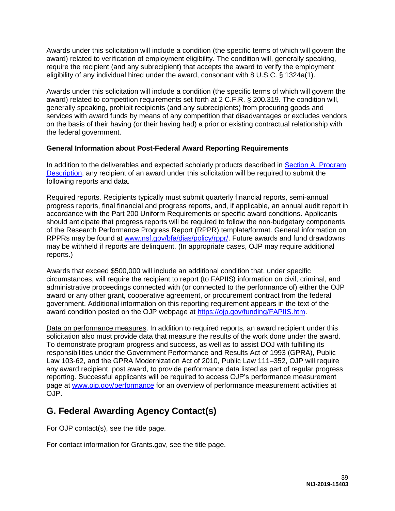Awards under this solicitation will include a condition (the specific terms of which will govern the award) related to verification of employment eligibility. The condition will, generally speaking, require the recipient (and any subrecipient) that accepts the award to verify the employment eligibility of any individual hired under the award, consonant with 8 U.S.C. § 1324a(1).

Awards under this solicitation will include a condition (the specific terms of which will govern the award) related to competition requirements set forth at 2 C.F.R. § 200.319. The condition will, generally speaking, prohibit recipients (and any subrecipients) from procuring goods and services with award funds by means of any competition that disadvantages or excludes vendors on the basis of their having (or their having had) a prior or existing contractual relationship with the federal government.

#### <span id="page-39-0"></span>**General Information about Post-Federal Award Reporting Requirements**

In addition to the deliverables and expected scholarly products described in [Section A. Program](#page-4-0)  [Description,](#page-4-0) any recipient of an award under this solicitation will be required to submit the following reports and data.

Required reports. Recipients typically must submit quarterly financial reports, semi-annual progress reports, final financial and progress reports, and, if applicable, an annual audit report in accordance with the Part 200 Uniform Requirements or specific award conditions. Applicants should anticipate that progress reports will be required to follow the non-budgetary components of the Research Performance Progress Report (RPPR) template/format. General information on RPPRs may be found at [www.nsf.gov/bfa/dias/policy/rppr/.](https://www.nsf.gov/bfa/dias/policy/rppr/) Future awards and fund drawdowns may be withheld if reports are delinquent. (In appropriate cases, OJP may require additional reports.)

Awards that exceed \$500,000 will include an additional condition that, under specific circumstances, will require the recipient to report (to FAPIIS) information on civil, criminal, and administrative proceedings connected with (or connected to the performance of) either the OJP award or any other grant, cooperative agreement, or procurement contract from the federal government. Additional information on this reporting requirement appears in the text of the award condition posted on the OJP webpage at [https://ojp.gov/funding/FAPIIS.htm.](https://ojp.gov/funding/FAPIIS.htm)

Data on performance measures. In addition to required reports, an award recipient under this solicitation also must provide data that measure the results of the work done under the award. To demonstrate program progress and success, as well as to assist DOJ with fulfilling its responsibilities under the Government Performance and Results Act of 1993 (GPRA), Public Law 103-62, and the GPRA Modernization Act of 2010, Public Law 111–352, OJP will require any award recipient, post award, to provide performance data listed as part of regular progress reporting. Successful applicants will be required to access OJP's performance measurement page at [www.ojp.gov/performance](https://www.ojp.gov/performance) for an overview of performance measurement activities at OJP.

# <span id="page-39-1"></span>**G. Federal Awarding Agency Contact(s)**

For OJP contact(s), see the title page.

For contact information for Grants.gov, see the title page.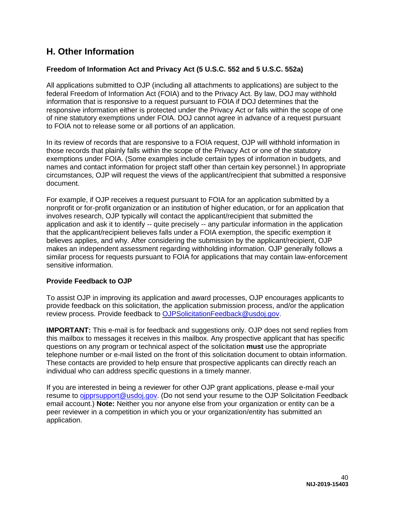## <span id="page-40-0"></span>**H. Other Information**

#### <span id="page-40-1"></span>**Freedom of Information Act and Privacy Act (5 U.S.C. 552 and 5 U.S.C. 552a)**

All applications submitted to OJP (including all attachments to applications) are subject to the federal Freedom of Information Act (FOIA) and to the Privacy Act. By law, DOJ may withhold information that is responsive to a request pursuant to FOIA if DOJ determines that the responsive information either is protected under the Privacy Act or falls within the scope of one of nine statutory exemptions under FOIA. DOJ cannot agree in advance of a request pursuant to FOIA not to release some or all portions of an application.

In its review of records that are responsive to a FOIA request, OJP will withhold information in those records that plainly falls within the scope of the Privacy Act or one of the statutory exemptions under FOIA. (Some examples include certain types of information in budgets, and names and contact information for project staff other than certain key personnel.) In appropriate circumstances, OJP will request the views of the applicant/recipient that submitted a responsive document.

For example, if OJP receives a request pursuant to FOIA for an application submitted by a nonprofit or for-profit organization or an institution of higher education, or for an application that involves research, OJP typically will contact the applicant/recipient that submitted the application and ask it to identify -- quite precisely -- any particular information in the application that the applicant/recipient believes falls under a FOIA exemption, the specific exemption it believes applies, and why. After considering the submission by the applicant/recipient, OJP makes an independent assessment regarding withholding information. OJP generally follows a similar process for requests pursuant to FOIA for applications that may contain law-enforcement sensitive information.

#### <span id="page-40-2"></span>**Provide Feedback to OJP**

To assist OJP in improving its application and award processes, OJP encourages applicants to provide feedback on this solicitation, the application submission process, and/or the application review process. Provide feedback to [OJPSolicitationFeedback@usdoj.gov.](mailto:OJPSolicitationFeedback@usdoj.gov)

**IMPORTANT:** This e-mail is for feedback and suggestions only. OJP does not send replies from this mailbox to messages it receives in this mailbox. Any prospective applicant that has specific questions on any program or technical aspect of the solicitation **must** use the appropriate telephone number or e-mail listed on the front of this solicitation document to obtain information. These contacts are provided to help ensure that prospective applicants can directly reach an individual who can address specific questions in a timely manner.

If you are interested in being a reviewer for other OJP grant applications, please e-mail your resume to [ojpprsupport@usdoj.gov.](mailto:ojpprsupport@usdoj.gov) (Do not send your resume to the OJP Solicitation Feedback email account.) **Note:** Neither you nor anyone else from your organization or entity can be a peer reviewer in a competition in which you or your organization/entity has submitted an application.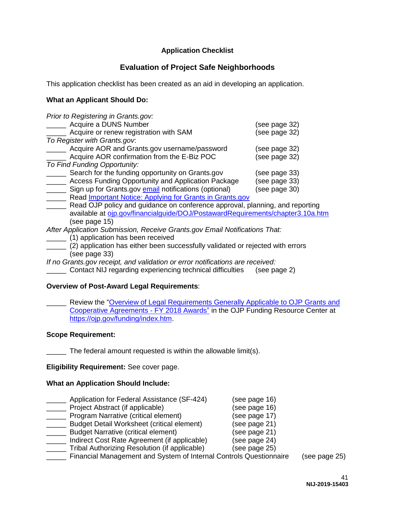#### **Application Checklist**

#### **Evaluation of Project Safe Neighborhoods**

<span id="page-41-0"></span>This application checklist has been created as an aid in developing an application.

#### **What an Applicant Should Do:**

| Prior to Registering in Grants.gov:                                            |               |
|--------------------------------------------------------------------------------|---------------|
| Acquire a DUNS Number                                                          | (see page 32) |
| Acquire or renew registration with SAM                                         | (see page 32) |
| To Register with Grants.gov.                                                   |               |
| Acquire AOR and Grants.gov username/password                                   | (see page 32) |
| Acquire AOR confirmation from the E-Biz POC                                    | (see page 32) |
| To Find Funding Opportunity:                                                   |               |
| Search for the funding opportunity on Grants.gov                               | (see page 33) |
| Access Funding Opportunity and Application Package                             | (see page 33) |
| Sign up for Grants.gov email notifications (optional)                          | (see page 30) |
| Read Important Notice: Applying for Grants in Grants.gov                       |               |
| Read OJP policy and guidance on conference approval, planning, and reporting   |               |
| available at ojp.gov/financialguide/DOJ/PostawardRequirements/chapter3.10a.htm |               |
| (see page 15)                                                                  |               |
| After Application Submission, Receive Grants.gov Email Notifications That:     |               |
| (1) application has been received                                              |               |
| (2) annlication has either heen successfully validated or rejected with errors |               |

ation has either been successfully validated or rejected with errors (see page 33)

*If no Grants.gov receipt, and validation or error notifications are received:* 

\_\_\_\_\_ Contact NIJ regarding experiencing technical difficulties (see page 2)

#### **Overview of Post-Award Legal Requirements**:

Review the "Overview of Legal Requirements Generally Applicable to OJP Grants and [Cooperative Agreements - FY 2018 Awards"](https://ojp.gov/funding/Explore/LegalOverview/index.htm) in the OJP Funding Resource Center at [https://ojp.gov/funding/index.htm.](https://ojp.gov/funding/index.htm)

#### **Scope Requirement:**

\_\_\_\_\_ The federal amount requested is within the allowable limit(s).

**Eligibility Requirement:** See cover page.

#### **What an Application Should Include:**

- \_\_\_\_\_ Application for Federal Assistance (SF-424) (see page 16) \_\_\_\_\_ Project Abstract (if applicable) (see page 16)
- \_\_\_\_\_ Program Narrative (critical element) (see page 17)
- \_\_\_\_\_ Budget Detail Worksheet (critical element) (see page 21)
- \_\_\_\_\_ Budget Narrative (critical element) (see page 21)
- \_\_\_\_\_ Indirect Cost Rate Agreement (if applicable) (see page 24)
- \_\_\_\_\_ Tribal Authorizing Resolution (if applicable) (see page 25)
- \_\_\_\_\_ Financial Management and System of Internal Controls Questionnaire (see page 25)